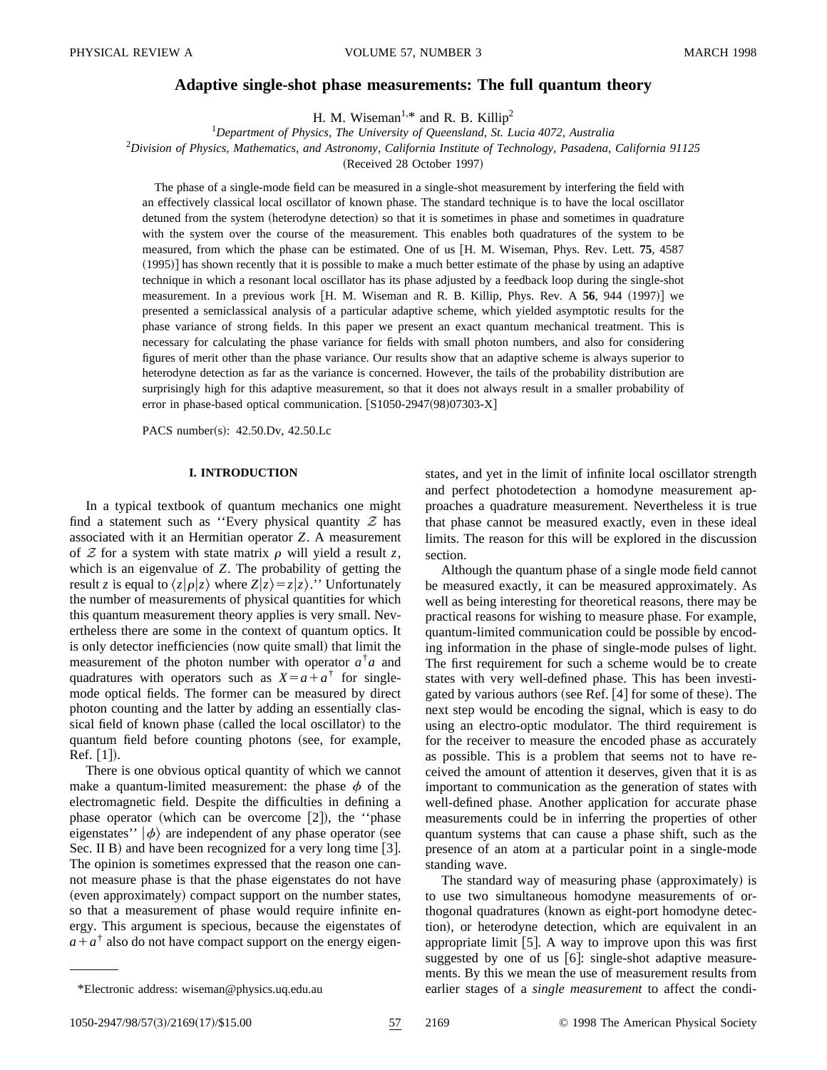# **Adaptive single-shot phase measurements: The full quantum theory**

H. M. Wiseman<sup>1,\*</sup> and R. B. Killip<sup>2</sup>

1 *Department of Physics, The University of Queensland, St. Lucia 4072, Australia*

2 *Division of Physics, Mathematics, and Astronomy, California Institute of Technology, Pasadena, California 91125*

(Received 28 October 1997)

The phase of a single-mode field can be measured in a single-shot measurement by interfering the field with an effectively classical local oscillator of known phase. The standard technique is to have the local oscillator detuned from the system (heterodyne detection) so that it is sometimes in phase and sometimes in quadrature with the system over the course of the measurement. This enables both quadratures of the system to be measured, from which the phase can be estimated. One of us [H. M. Wiseman, Phys. Rev. Lett. **75**, 4587  $(1995)$  has shown recently that it is possible to make a much better estimate of the phase by using an adaptive technique in which a resonant local oscillator has its phase adjusted by a feedback loop during the single-shot measurement. In a previous work  $[H. M. Wiseman and R. B. Killing, Phys. Rev. A 56, 944 (1997)] we$ presented a semiclassical analysis of a particular adaptive scheme, which yielded asymptotic results for the phase variance of strong fields. In this paper we present an exact quantum mechanical treatment. This is necessary for calculating the phase variance for fields with small photon numbers, and also for considering figures of merit other than the phase variance. Our results show that an adaptive scheme is always superior to heterodyne detection as far as the variance is concerned. However, the tails of the probability distribution are surprisingly high for this adaptive measurement, so that it does not always result in a smaller probability of error in phase-based optical communication.  $[S1050-2947(98)07303-X]$ 

PACS number(s):  $42.50 \text{.}Dv$ ,  $42.50 \text{.}Lc$ 

### **I. INTRODUCTION**

In a typical textbook of quantum mechanics one might find a statement such as ''Every physical quantity *Z* has associated with it an Hermitian operator *Z*. A measurement of  $Z$  for a system with state matrix  $\rho$  will yield a result  $z$ , which is an eigenvalue of *Z*. The probability of getting the result *z* is equal to  $\langle z|\rho|z\rangle$  where  $Z|z\rangle = z|z\rangle$ .'' Unfortunately the number of measurements of physical quantities for which this quantum measurement theory applies is very small. Nevertheless there are some in the context of quantum optics. It is only detector inefficiencies (now quite small) that limit the measurement of the photon number with operator  $a^{\dagger}a$  and quadratures with operators such as  $X = a + a^{\dagger}$  for singlemode optical fields. The former can be measured by direct photon counting and the latter by adding an essentially classical field of known phase (called the local oscillator) to the quantum field before counting photons (see, for example,  $\text{Ref.} \, \lceil 1 \rceil$ ).

There is one obvious optical quantity of which we cannot make a quantum-limited measurement: the phase  $\phi$  of the electromagnetic field. Despite the difficulties in defining a phase operator (which can be overcome  $[2]$ ), the "phase eigenstates''  $|\phi\rangle$  are independent of any phase operator (see Sec. II B) and have been recognized for a very long time  $\lceil 3 \rceil$ . The opinion is sometimes expressed that the reason one cannot measure phase is that the phase eigenstates do not have (even approximately) compact support on the number states, so that a measurement of phase would require infinite energy. This argument is specious, because the eigenstates of  $a + a^{\dagger}$  also do not have compact support on the energy eigenstates, and yet in the limit of infinite local oscillator strength and perfect photodetection a homodyne measurement approaches a quadrature measurement. Nevertheless it is true that phase cannot be measured exactly, even in these ideal limits. The reason for this will be explored in the discussion section.

Although the quantum phase of a single mode field cannot be measured exactly, it can be measured approximately. As well as being interesting for theoretical reasons, there may be practical reasons for wishing to measure phase. For example, quantum-limited communication could be possible by encoding information in the phase of single-mode pulses of light. The first requirement for such a scheme would be to create states with very well-defined phase. This has been investigated by various authors (see Ref.  $|4|$  for some of these). The next step would be encoding the signal, which is easy to do using an electro-optic modulator. The third requirement is for the receiver to measure the encoded phase as accurately as possible. This is a problem that seems not to have received the amount of attention it deserves, given that it is as important to communication as the generation of states with well-defined phase. Another application for accurate phase measurements could be in inferring the properties of other quantum systems that can cause a phase shift, such as the presence of an atom at a particular point in a single-mode standing wave.

The standard way of measuring phase (approximately) is to use two simultaneous homodyne measurements of orthogonal quadratures (known as eight-port homodyne detection), or heterodyne detection, which are equivalent in an appropriate limit  $[5]$ . A way to improve upon this was first suggested by one of us  $[6]$ : single-shot adaptive measurements. By this we mean the use of measurement results from \*Electronic address: wiseman@physics.uq.edu.au earlier stages of a *single measurement* to affect the condi-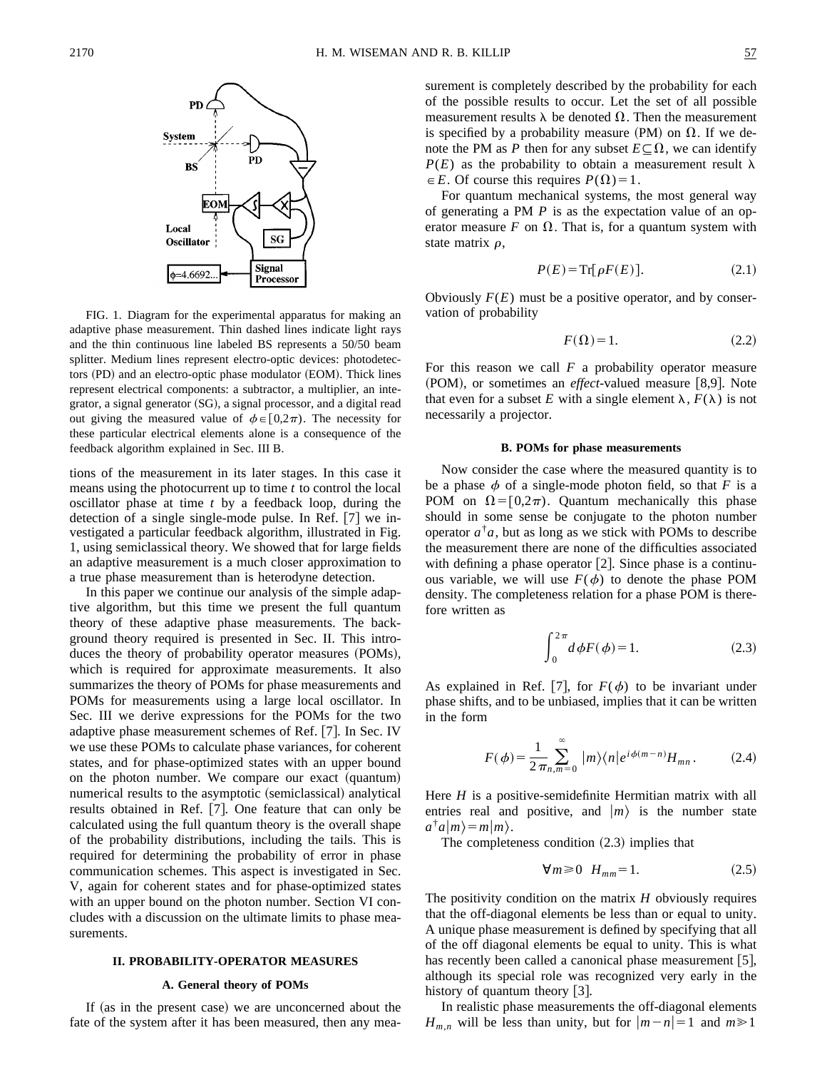

FIG. 1. Diagram for the experimental apparatus for making an adaptive phase measurement. Thin dashed lines indicate light rays and the thin continuous line labeled BS represents a 50/50 beam splitter. Medium lines represent electro-optic devices: photodetectors (PD) and an electro-optic phase modulator (EOM). Thick lines represent electrical components: a subtractor, a multiplier, an integrator, a signal generator  $(SG)$ , a signal processor, and a digital read out giving the measured value of  $\phi \in [0,2\pi)$ . The necessity for these particular electrical elements alone is a consequence of the feedback algorithm explained in Sec. III B.

tions of the measurement in its later stages. In this case it means using the photocurrent up to time *t* to control the local oscillator phase at time *t* by a feedback loop, during the detection of a single single-mode pulse. In Ref.  $[7]$  we investigated a particular feedback algorithm, illustrated in Fig. 1, using semiclassical theory. We showed that for large fields an adaptive measurement is a much closer approximation to a true phase measurement than is heterodyne detection.

In this paper we continue our analysis of the simple adaptive algorithm, but this time we present the full quantum theory of these adaptive phase measurements. The background theory required is presented in Sec. II. This introduces the theory of probability operator measures (POMs), which is required for approximate measurements. It also summarizes the theory of POMs for phase measurements and POMs for measurements using a large local oscillator. In Sec. III we derive expressions for the POMs for the two adaptive phase measurement schemes of Ref. [7]. In Sec. IV we use these POMs to calculate phase variances, for coherent states, and for phase-optimized states with an upper bound on the photon number. We compare our exact (quantum) numerical results to the asymptotic (semiclassical) analytical results obtained in Ref. [7]. One feature that can only be calculated using the full quantum theory is the overall shape of the probability distributions, including the tails. This is required for determining the probability of error in phase communication schemes. This aspect is investigated in Sec. V, again for coherent states and for phase-optimized states with an upper bound on the photon number. Section VI concludes with a discussion on the ultimate limits to phase measurements.

#### **II. PROBABILITY-OPERATOR MEASURES**

### **A. General theory of POMs**

If (as in the present case) we are unconcerned about the fate of the system after it has been measured, then any measurement is completely described by the probability for each of the possible results to occur. Let the set of all possible measurement results  $\lambda$  be denoted  $\Omega$ . Then the measurement is specified by a probability measure (PM) on  $\Omega$ . If we denote the PM as *P* then for any subset  $E \subseteq \Omega$ , we can identify  $P(E)$  as the probability to obtain a measurement result  $\lambda$  $\in E$ . Of course this requires  $P(\Omega) = 1$ .

For quantum mechanical systems, the most general way of generating a PM *P* is as the expectation value of an operator measure *F* on  $\Omega$ . That is, for a quantum system with state matrix  $\rho$ ,

$$
P(E) = \text{Tr}[\rho F(E)]. \tag{2.1}
$$

Obviously  $F(E)$  must be a positive operator, and by conservation of probability

$$
F(\Omega) = 1. \tag{2.2}
$$

For this reason we call *F* a probability operator measure  $(POM)$ , or sometimes an *effect*-valued measure [8,9]. Note that even for a subset *E* with a single element  $\lambda$ ,  $F(\lambda)$  is not necessarily a projector.

### **B. POMs for phase measurements**

Now consider the case where the measured quantity is to be a phase  $\phi$  of a single-mode photon field, so that *F* is a POM on  $\Omega = [0,2\pi)$ . Quantum mechanically this phase should in some sense be conjugate to the photon number operator  $a^{\dagger}a$ , but as long as we stick with POMs to describe the measurement there are none of the difficulties associated with defining a phase operator  $[2]$ . Since phase is a continuous variable, we will use  $F(\phi)$  to denote the phase POM density. The completeness relation for a phase POM is therefore written as

$$
\int_0^{2\pi} d\phi F(\phi) = 1.
$$
 (2.3)

As explained in Ref. [7], for  $F(\phi)$  to be invariant under phase shifts, and to be unbiased, implies that it can be written in the form

$$
F(\phi) = \frac{1}{2\pi n m m} \sum_{m=0}^{\infty} |m\rangle\langle n| e^{i\phi(m-n)} H_{mn}.
$$
 (2.4)

Here *H* is a positive-semidefinite Hermitian matrix with all entries real and positive, and  $|m\rangle$  is the number state  $a^{\dagger}a|m\rangle=m|m\rangle.$ 

The completeness condition  $(2.3)$  implies that

$$
\forall m \ge 0 \quad H_{mm} = 1. \tag{2.5}
$$

The positivity condition on the matrix *H* obviously requires that the off-diagonal elements be less than or equal to unity. A unique phase measurement is defined by specifying that all of the off diagonal elements be equal to unity. This is what has recently been called a canonical phase measurement  $[5]$ , although its special role was recognized very early in the history of quantum theory  $\lceil 3 \rceil$ .

In realistic phase measurements the off-diagonal elements  $H_{m,n}$  will be less than unity, but for  $|m-n|=1$  and  $m\geq 1$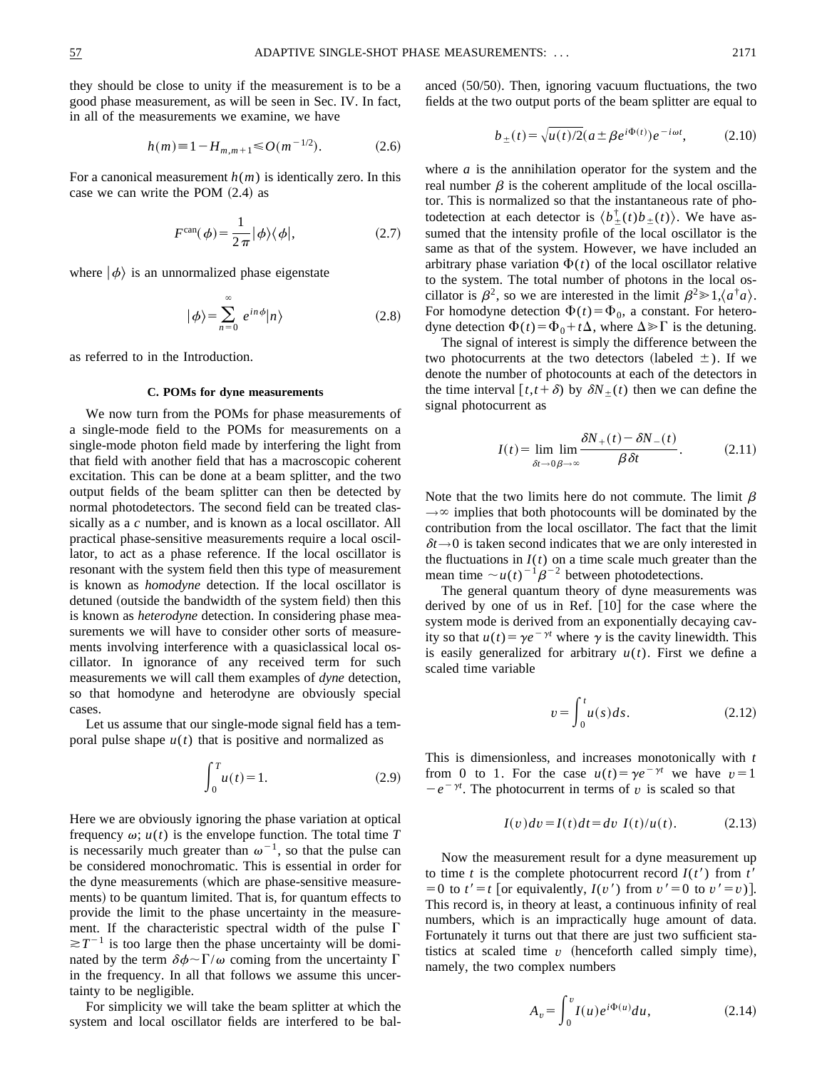they should be close to unity if the measurement is to be a good phase measurement, as will be seen in Sec. IV. In fact, in all of the measurements we examine, we have

$$
h(m) \equiv 1 - H_{m,m+1} \le O(m^{-1/2}).
$$
 (2.6)

For a canonical measurement  $h(m)$  is identically zero. In this case we can write the POM  $(2.4)$  as

$$
F^{\text{can}}(\phi) = \frac{1}{2\pi} |\phi\rangle\langle\phi|,\tag{2.7}
$$

where  $|\phi\rangle$  is an unnormalized phase eigenstate

$$
|\phi\rangle = \sum_{n=0}^{\infty} e^{in\phi} |n\rangle
$$
 (2.8)

as referred to in the Introduction.

## **C. POMs for dyne measurements**

We now turn from the POMs for phase measurements of a single-mode field to the POMs for measurements on a single-mode photon field made by interfering the light from that field with another field that has a macroscopic coherent excitation. This can be done at a beam splitter, and the two output fields of the beam splitter can then be detected by normal photodetectors. The second field can be treated classically as a *c* number, and is known as a local oscillator. All practical phase-sensitive measurements require a local oscillator, to act as a phase reference. If the local oscillator is resonant with the system field then this type of measurement is known as *homodyne* detection. If the local oscillator is detuned (outside the bandwidth of the system field) then this is known as *heterodyne* detection. In considering phase measurements we will have to consider other sorts of measurements involving interference with a quasiclassical local oscillator. In ignorance of any received term for such measurements we will call them examples of *dyne* detection, so that homodyne and heterodyne are obviously special cases.

Let us assume that our single-mode signal field has a temporal pulse shape  $u(t)$  that is positive and normalized as

$$
\int_0^T u(t) = 1.
$$
\n(2.9)

Here we are obviously ignoring the phase variation at optical frequency  $\omega$ ;  $u(t)$  is the envelope function. The total time *T* is necessarily much greater than  $\omega^{-1}$ , so that the pulse can be considered monochromatic. This is essential in order for the dyne measurements (which are phase-sensitive measurements) to be quantum limited. That is, for quantum effects to provide the limit to the phase uncertainty in the measurement. If the characteristic spectral width of the pulse  $\Gamma$  $\geq T^{-1}$  is too large then the phase uncertainty will be dominated by the term  $\delta\phi \sim \Gamma/\omega$  coming from the uncertainty  $\Gamma$ in the frequency. In all that follows we assume this uncertainty to be negligible.

For simplicity we will take the beam splitter at which the system and local oscillator fields are interfered to be balanced  $(50/50)$ . Then, ignoring vacuum fluctuations, the two fields at the two output ports of the beam splitter are equal to

$$
b_{\pm}(t) = \sqrt{u(t)/2}(a \pm \beta e^{i\Phi(t)})e^{-i\omega t}, \qquad (2.10)
$$

where *a* is the annihilation operator for the system and the real number  $\beta$  is the coherent amplitude of the local oscillator. This is normalized so that the instantaneous rate of photodetection at each detector is  $\langle b^{\dagger}_{\pm}(t)b_{\pm}(t)\rangle$ . We have assumed that the intensity profile of the local oscillator is the same as that of the system. However, we have included an arbitrary phase variation  $\Phi(t)$  of the local oscillator relative to the system. The total number of photons in the local oscillator is  $\beta^2$ , so we are interested in the limit  $\beta^2 \geq 1$ , $\langle a^{\dagger}a \rangle$ . For homodyne detection  $\Phi(t) = \Phi_0$ , a constant. For heterodyne detection  $\Phi(t) = \Phi_0 + t\Delta$ , where  $\Delta \gg \Gamma$  is the detuning.

The signal of interest is simply the difference between the two photocurrents at the two detectors (labeled  $\pm$ ). If we denote the number of photocounts at each of the detectors in the time interval  $[t, t + \delta)$  by  $\delta N_{\pm}(t)$  then we can define the signal photocurrent as

$$
I(t) = \lim_{\delta t \to 0} \lim_{\beta \to \infty} \frac{\delta N_+(t) - \delta N_-(t)}{\beta \delta t}.
$$
 (2.11)

Note that the two limits here do not commute. The limit  $\beta$  $\rightarrow \infty$  implies that both photocounts will be dominated by the contribution from the local oscillator. The fact that the limit  $\delta t \rightarrow 0$  is taken second indicates that we are only interested in the fluctuations in  $I(t)$  on a time scale much greater than the mean time  $\sim u(t)^{-1} \beta^{-2}$  between photodetections.

The general quantum theory of dyne measurements was derived by one of us in Ref.  $[10]$  for the case where the system mode is derived from an exponentially decaying cavity so that  $u(t) = \gamma e^{-\gamma t}$  where  $\gamma$  is the cavity linewidth. This is easily generalized for arbitrary  $u(t)$ . First we define a scaled time variable

$$
v = \int_0^t u(s)ds.
$$
 (2.12)

This is dimensionless, and increases monotonically with *t* from 0 to 1. For the case  $u(t) = \gamma e^{-\gamma t}$  we have  $v = 1$  $-e^{-\gamma t}$ . The photocurrent in terms of *v* is scaled so that

$$
I(v)dv = I(t)dt = dv I(t)/u(t).
$$
 (2.13)

Now the measurement result for a dyne measurement up to time *t* is the complete photocurrent record  $I(t')$  from  $t'$ =0 to  $t' = t$  [or equivalently,  $I(v')$  from  $v' = 0$  to  $v' = v$ )]. This record is, in theory at least, a continuous infinity of real numbers, which is an impractically huge amount of data. Fortunately it turns out that there are just two sufficient statistics at scaled time  $v$  (henceforth called simply time), namely, the two complex numbers

$$
A_v = \int_0^v I(u)e^{i\Phi(u)}du,
$$
\n(2.14)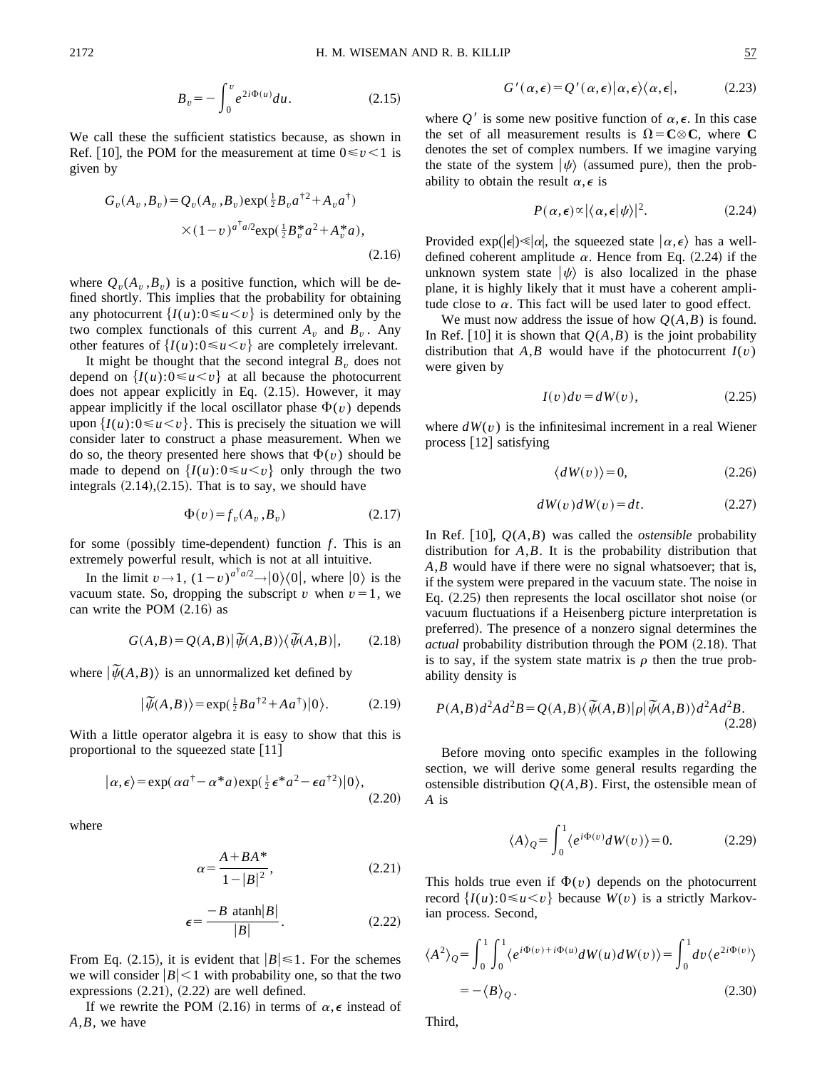$$
B_v = -\int_0^v e^{2i\Phi(u)} du.
$$
 (2.15)

We call these the sufficient statistics because, as shown in Ref. [10], the POM for the measurement at time  $0 \le v \le 1$  is given by

$$
G_v(A_v, B_v) = Q_v(A_v, B_v) \exp(\frac{1}{2}B_v a^{\dagger 2} + A_v a^{\dagger})
$$
  
×(1-v)<sup>a<sup>\dagger</sup>a/2</sup> exp( $\frac{1}{2}B_v^* a^2 + A_v^* a$ ), (2.16)

where  $Q_v(A_v, B_v)$  is a positive function, which will be defined shortly. This implies that the probability for obtaining any photocurrent  $\{I(u):0 \le u \le v\}$  is determined only by the two complex functionals of this current  $A_n$  and  $B_n$ . Any other features of  $\{I(u):0 \le u \le v\}$  are completely irrelevant.

It might be thought that the second integral  $B<sub>v</sub>$  does not depend on  ${I(u):0 \le u \le v}$  at all because the photocurrent does not appear explicitly in Eq.  $(2.15)$ . However, it may appear implicitly if the local oscillator phase  $\Phi(v)$  depends upon  ${I(u):0 \le u \le v}$ . This is precisely the situation we will consider later to construct a phase measurement. When we do so, the theory presented here shows that  $\Phi(v)$  should be made to depend on  ${I(u):0 \le u \le v}$  only through the two integrals  $(2.14)$ , $(2.15)$ . That is to say, we should have

$$
\Phi(v) = f_v(A_v, B_v) \tag{2.17}
$$

for some (possibly time-dependent) function  $f$ . This is an extremely powerful result, which is not at all intuitive.

In the limit  $v \rightarrow 1$ ,  $(1-v)^{a^{\dagger}a/2} \rightarrow |0\rangle\langle0|$ , where  $|0\rangle$  is the vacuum state. So, dropping the subscript *v* when  $v=1$ , we can write the POM  $(2.16)$  as

$$
G(A,B) = Q(A,B) |\widetilde{\psi}(A,B)\rangle\langle \widetilde{\psi}(A,B)|, \qquad (2.18)
$$

where  $|\widetilde{\psi}(A,B)\rangle$  is an unnormalized ket defined by

$$
|\tilde{\psi}(A,B)\rangle = \exp(\frac{1}{2}Ba^{\dagger 2} + Aa^{\dagger})|0\rangle. \tag{2.19}
$$

With a little operator algebra it is easy to show that this is proportional to the squeezed state  $[11]$ 

$$
|\alpha,\epsilon\rangle = \exp(\alpha a^{\dagger} - \alpha^* a) \exp(\frac{1}{2}\epsilon^* a^2 - \epsilon a^{\dagger 2})|0\rangle, \tag{2.20}
$$

where

$$
\alpha = \frac{A + BA^*}{1 - |B|^2},\tag{2.21}
$$

$$
\epsilon = \frac{-B \text{ atanh}|B|}{|B|}.
$$
 (2.22)

From Eq. (2.15), it is evident that  $|B| \le 1$ . For the schemes we will consider  $|B|$ <1 with probability one, so that the two expressions  $(2.21)$ ,  $(2.22)$  are well defined.

If we rewrite the POM (2.16) in terms of  $\alpha$ ,  $\epsilon$  instead of *A*,*B*, we have

$$
G'(\alpha, \epsilon) = Q'(\alpha, \epsilon) | \alpha, \epsilon \rangle \langle \alpha, \epsilon |, \qquad (2.23)
$$

where  $Q'$  is some new positive function of  $\alpha, \epsilon$ . In this case the set of all measurement results is  $\Omega = \mathbb{C} \otimes \mathbb{C}$ , where **C** denotes the set of complex numbers. If we imagine varying the state of the system  $|\psi\rangle$  (assumed pure), then the probability to obtain the result  $\alpha$ ,  $\epsilon$  is

$$
P(\alpha, \epsilon) \propto |\langle \alpha, \epsilon | \psi \rangle|^2. \tag{2.24}
$$

Provided  $\exp(|\epsilon|) \ll |\alpha|$ , the squeezed state  $|\alpha, \epsilon\rangle$  has a welldefined coherent amplitude  $\alpha$ . Hence from Eq. (2.24) if the unknown system state  $|\psi\rangle$  is also localized in the phase plane, it is highly likely that it must have a coherent amplitude close to  $\alpha$ . This fact will be used later to good effect.

We must now address the issue of how  $Q(A, B)$  is found. In Ref. [10] it is shown that  $Q(A, B)$  is the joint probability distribution that  $A, B$  would have if the photocurrent  $I(v)$ were given by

$$
I(v)dv = dW(v), \tag{2.25}
$$

where  $dW(v)$  is the infinitesimal increment in a real Wiener process  $[12]$  satisfying

$$
\langle dW(v) \rangle = 0, \tag{2.26}
$$

$$
dW(v)dW(v) = dt. \t(2.27)
$$

In Ref.  $[10]$ ,  $Q(A,B)$  was called the *ostensible* probability distribution for *A*,*B*. It is the probability distribution that *A*,*B* would have if there were no signal whatsoever; that is, if the system were prepared in the vacuum state. The noise in Eq.  $(2.25)$  then represents the local oscillator shot noise (or vacuum fluctuations if a Heisenberg picture interpretation is preferred). The presence of a nonzero signal determines the *actual* probability distribution through the POM  $(2.18)$ . That is to say, if the system state matrix is  $\rho$  then the true probability density is

$$
P(A,B)d^{2}Ad^{2}B = Q(A,B)\langle \widetilde{\psi}(A,B)|\rho|\widetilde{\psi}(A,B)\rangle d^{2}Ad^{2}B.
$$
\n(2.28)

Before moving onto specific examples in the following section, we will derive some general results regarding the ostensible distribution  $Q(A, B)$ . First, the ostensible mean of *A* is

$$
\langle A \rangle_{Q} = \int_{0}^{1} \langle e^{i\Phi(v)} dW(v) \rangle = 0.
$$
 (2.29)

This holds true even if  $\Phi(v)$  depends on the photocurrent record  $\{I(u):0 \le u \le v\}$  because  $W(v)$  is a strictly Markovian process. Second,

$$
\langle A^2 \rangle_{Q} = \int_0^1 \int_0^1 \langle e^{i\Phi(v) + i\Phi(u)} dW(u) dW(v) \rangle = \int_0^1 dv \langle e^{2i\Phi(v)} \rangle
$$
  
= -\langle B \rangle\_{Q}. (2.30)

Third,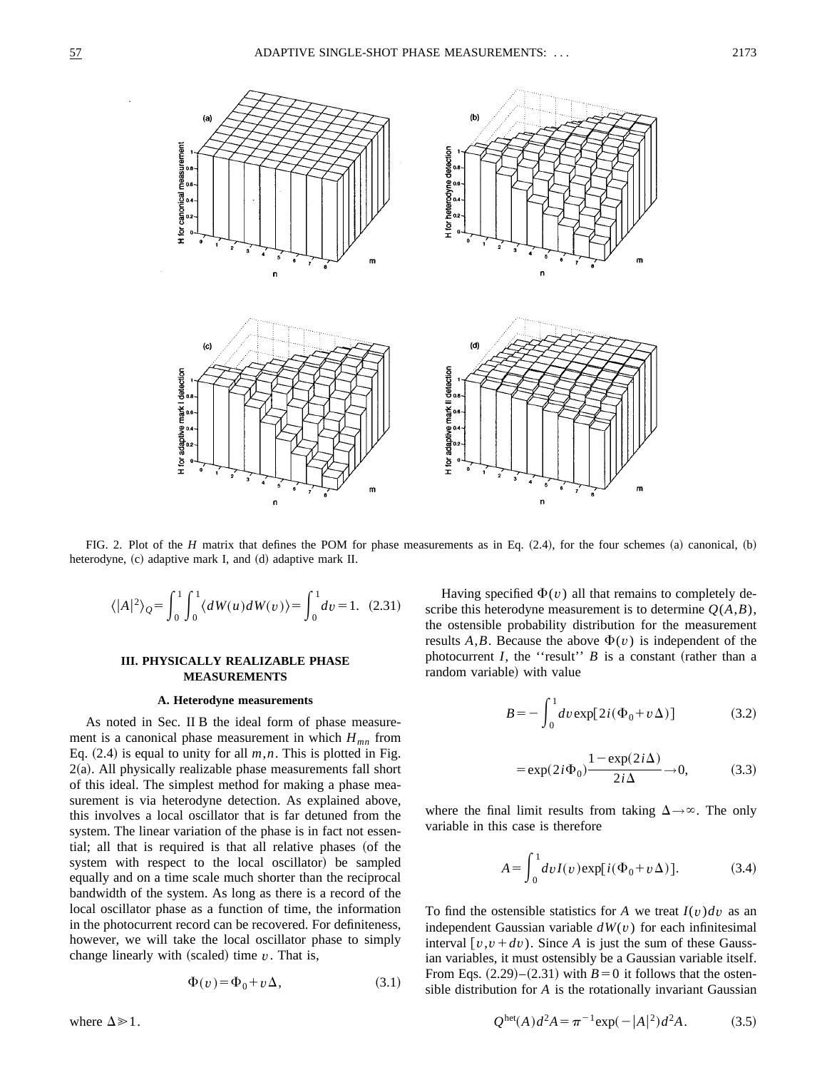

FIG. 2. Plot of the *H* matrix that defines the POM for phase measurements as in Eq.  $(2.4)$ , for the four schemes  $(a)$  canonical,  $(b)$ heterodyne,  $(c)$  adaptive mark I, and  $(d)$  adaptive mark II.

$$
\langle |A|^2 \rangle_{Q} = \int_0^1 \int_0^1 \langle dW(u) dW(v) \rangle = \int_0^1 dv = 1. \tag{2.31}
$$

# **III. PHYSICALLY REALIZABLE PHASE MEASUREMENTS**

### **A. Heterodyne measurements**

As noted in Sec. II B the ideal form of phase measurement is a canonical phase measurement in which  $H_{mn}$  from Eq.  $(2.4)$  is equal to unity for all  $m, n$ . This is plotted in Fig.  $2(a)$ . All physically realizable phase measurements fall short of this ideal. The simplest method for making a phase measurement is via heterodyne detection. As explained above, this involves a local oscillator that is far detuned from the system. The linear variation of the phase is in fact not essential; all that is required is that all relative phases (of the system with respect to the local oscillator) be sampled equally and on a time scale much shorter than the reciprocal bandwidth of the system. As long as there is a record of the local oscillator phase as a function of time, the information in the photocurrent record can be recovered. For definiteness, however, we will take the local oscillator phase to simply change linearly with (scaled) time  $v$ . That is,

$$
\Phi(v) = \Phi_0 + v\Delta,\tag{3.1}
$$

Having specified  $\Phi(v)$  all that remains to completely describe this heterodyne measurement is to determine  $Q(A,B)$ , the ostensible probability distribution for the measurement results *A*,*B*. Because the above  $\Phi(v)$  is independent of the photocurrent *I*, the "result" *B* is a constant (rather than a random variable) with value

$$
B = -\int_0^1 dv \exp[2i(\Phi_0 + v\Delta)] \tag{3.2}
$$

$$
=\exp(2i\Phi_0)\frac{1-\exp(2i\Delta)}{2i\Delta}\to 0,
$$
 (3.3)

where the final limit results from taking  $\Delta \rightarrow \infty$ . The only variable in this case is therefore

$$
A = \int_0^1 dv I(v) \exp[i(\Phi_0 + v\Delta)]. \tag{3.4}
$$

To find the ostensible statistics for *A* we treat  $I(v)dv$  as an independent Gaussian variable  $dW(v)$  for each infinitesimal interval  $[v, v + dv)$ . Since *A* is just the sum of these Gaussian variables, it must ostensibly be a Gaussian variable itself. From Eqs.  $(2.29)$ – $(2.31)$  with  $B=0$  it follows that the ostensible distribution for *A* is the rotationally invariant Gaussian

$$
Q^{\text{het}}(A)d^2A = \pi^{-1}\exp(-|A|^2)d^2A.
$$
 (3.5)

where  $\Delta \geq 1$ .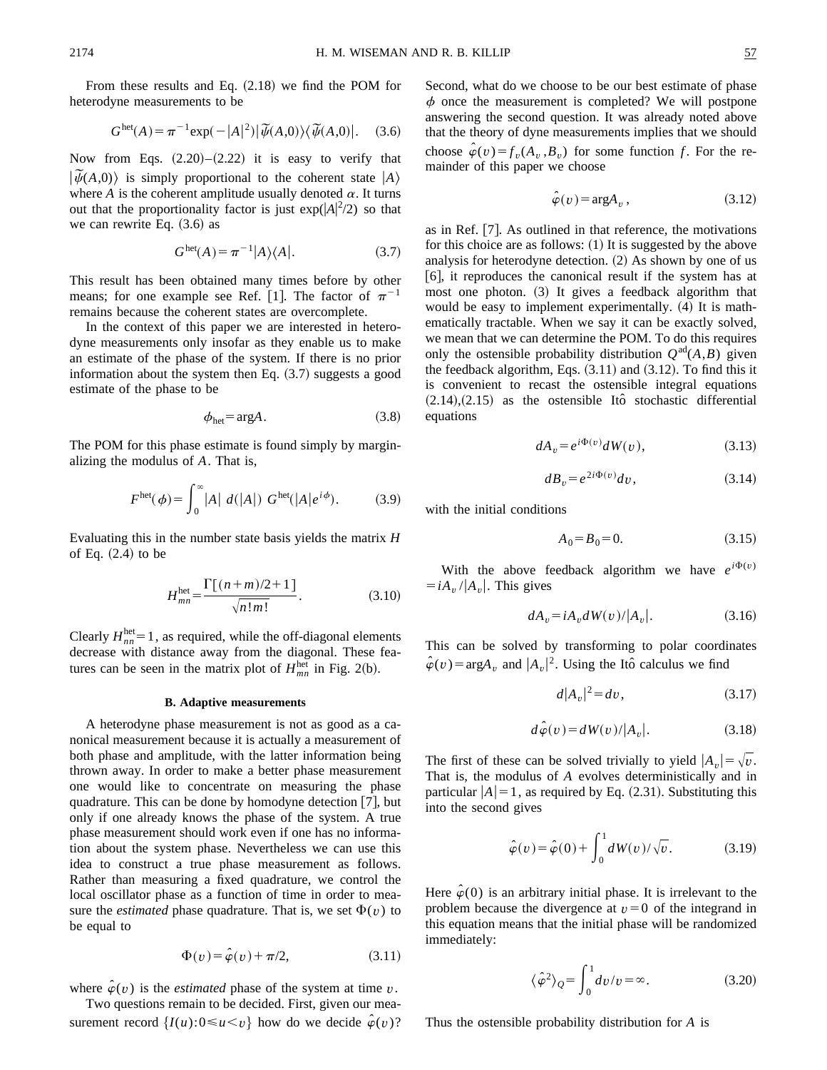From these results and Eq.  $(2.18)$  we find the POM for heterodyne measurements to be

$$
G^{\text{het}}(A) = \pi^{-1} \exp(-|A|^2) |\widetilde{\psi}(A,0)\rangle \langle \widetilde{\psi}(A,0)|. \quad (3.6)
$$

Now from Eqs.  $(2.20)$ – $(2.22)$  it is easy to verify that Now from Eqs.  $(2.20)$ – $(2.22)$  it is easy to verify that<br> $|\psi(A,0)\rangle$  is simply proportional to the coherent state  $|A\rangle$ where  $A$  is the coherent amplitude usually denoted  $\alpha$ . It turns out that the proportionality factor is just  $exp(|A|^2/2)$  so that we can rewrite Eq.  $(3.6)$  as

$$
Ghet(A) = \pi^{-1}|A\rangle\langle A|.
$$
 (3.7)

This result has been obtained many times before by other means; for one example see Ref. [1]. The factor of  $\pi^{-1}$ remains because the coherent states are overcomplete.

In the context of this paper we are interested in heterodyne measurements only insofar as they enable us to make an estimate of the phase of the system. If there is no prior information about the system then Eq.  $(3.7)$  suggests a good estimate of the phase to be

$$
\phi_{\text{het}} = \text{arg}A. \tag{3.8}
$$

The POM for this phase estimate is found simply by marginalizing the modulus of *A*. That is,

$$
F^{\text{het}}(\phi) = \int_0^\infty |A| \ d(|A|) \ G^{\text{het}}(|A|e^{i\phi}). \tag{3.9}
$$

Evaluating this in the number state basis yields the matrix *H* of Eq.  $(2.4)$  to be

$$
H_{mn}^{\text{het}} = \frac{\Gamma[(n+m)/2+1]}{\sqrt{n!m!}}.
$$
 (3.10)

Clearly  $H_{nn}^{\text{het}}=1$ , as required, while the off-diagonal elements decrease with distance away from the diagonal. These features can be seen in the matrix plot of  $H_{mn}^{\text{het}}$  in Fig. 2(b).

#### **B. Adaptive measurements**

A heterodyne phase measurement is not as good as a canonical measurement because it is actually a measurement of both phase and amplitude, with the latter information being thrown away. In order to make a better phase measurement one would like to concentrate on measuring the phase quadrature. This can be done by homodyne detection  $[7]$ , but only if one already knows the phase of the system. A true phase measurement should work even if one has no information about the system phase. Nevertheless we can use this idea to construct a true phase measurement as follows. Rather than measuring a fixed quadrature, we control the local oscillator phase as a function of time in order to measure the *estimated* phase quadrature. That is, we set  $\Phi(v)$  to be equal to

$$
\Phi(v) = \hat{\varphi}(v) + \pi/2, \tag{3.11}
$$

where  $\hat{\varphi}(v)$  is the *estimated* phase of the system at time *v*.

Two questions remain to be decided. First, given our measurement record  $\{I(u):0 \le u \le v\}$  how do we decide  $\varphi(v)$ ? Second, what do we choose to be our best estimate of phase  $\phi$  once the measurement is completed? We will postpone answering the second question. It was already noted above that the theory of dyne measurements implies that we should choose  $\ddot{\varphi}(v) = f_v(A_v, B_v)$  for some function *f*. For the remainder of this paper we choose

$$
\hat{\varphi}(v) = \arg A_v, \qquad (3.12)
$$

as in Ref.  $[7]$ . As outlined in that reference, the motivations for this choice are as follows:  $(1)$  It is suggested by the above analysis for heterodyne detection.  $(2)$  As shown by one of us  $[6]$ , it reproduces the canonical result if the system has at most one photon.  $(3)$  It gives a feedback algorithm that would be easy to implement experimentally.  $(4)$  It is mathematically tractable. When we say it can be exactly solved, we mean that we can determine the POM. To do this requires only the ostensible probability distribution  $Q^{ad}(A,B)$  given the feedback algorithm, Eqs.  $(3.11)$  and  $(3.12)$ . To find this it is convenient to recast the ostensible integral equations  $(2.14)$ , $(2.15)$  as the ostensible Itô stochastic differential equations

$$
dA_v = e^{i\Phi(v)} dW(v), \qquad (3.13)
$$

$$
dB_v = e^{2i\Phi(v)}dv,\t\t(3.14)
$$

with the initial conditions

$$
A_0 = B_0 = 0. \tag{3.15}
$$

With the above feedback algorithm we have  $e^{i\Phi(v)}$  $=iA_{v}/|A_{v}|$ . This gives

$$
dA_v = iA_v dW(v)/|A_v|.\tag{3.16}
$$

This can be solved by transforming to polar coordinates  $\hat{\varphi}(v) = \arg A_v$  and  $|A_v|^2$ . Using the Itô calculus we find

$$
d|A_v|^2 = dv,\t(3.17)
$$

$$
d\hat{\varphi}(v) = dW(v)/|A_v|.\tag{3.18}
$$

The first of these can be solved trivially to yield  $|A_v| = \sqrt{v}$ . That is, the modulus of *A* evolves deterministically and in particular  $|A|=1$ , as required by Eq.  $(2.31)$ . Substituting this into the second gives

$$
\hat{\varphi}(v) = \hat{\varphi}(0) + \int_0^1 dW(v) / \sqrt{v}.
$$
 (3.19)

Here  $\hat{\varphi}(0)$  is an arbitrary initial phase. It is irrelevant to the problem because the divergence at  $v=0$  of the integrand in this equation means that the initial phase will be randomized immediately:

$$
\langle \hat{\varphi}^2 \rangle_{Q} = \int_0^1 dv/v = \infty. \tag{3.20}
$$

Thus the ostensible probability distribution for *A* is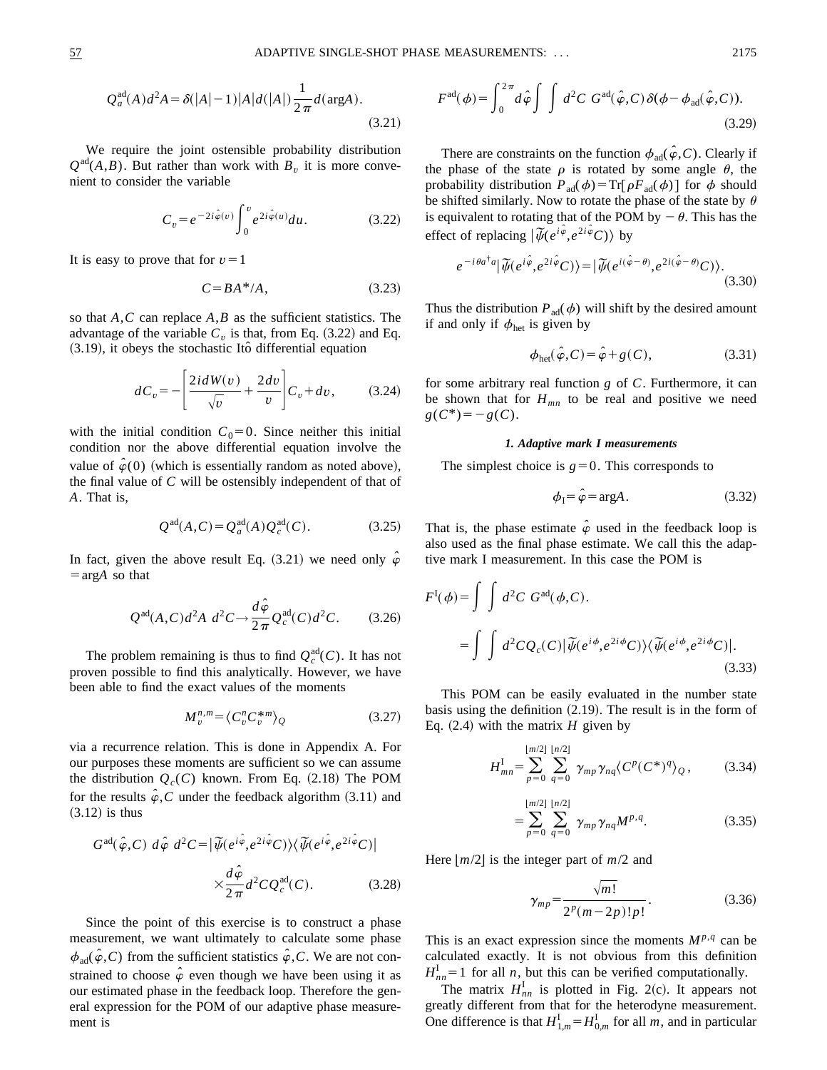$$
Q_a^{\text{ad}}(A)d^2A = \delta(|A|-1)|A|d(|A|)\frac{1}{2\pi}d(\text{arg}A).
$$
\n(3.21)

We require the joint ostensible probability distribution  $Q^{ad}(A,B)$ . But rather than work with  $B_v$  it is more convenient to consider the variable

$$
C_v = e^{-2i\hat{\varphi}(v)} \int_0^v e^{2i\hat{\varphi}(u)} du.
$$
 (3.22)

It is easy to prove that for  $v=1$ 

$$
C = BA^*/A, \tag{3.23}
$$

so that *A*,*C* can replace *A*,*B* as the sufficient statistics. The advantage of the variable  $C_v$  is that, from Eq.  $(3.22)$  and Eq.  $(3.19)$ , it obeys the stochastic Itô differential equation

$$
dC_v = -\left[\frac{2i dW(v)}{\sqrt{v}} + \frac{2dv}{v}\right]C_v + dv,
$$
 (3.24)

with the initial condition  $C_0=0$ . Since neither this initial condition nor the above differential equation involve the value of  $\hat{\varphi}(0)$  (which is essentially random as noted above), the final value of *C* will be ostensibly independent of that of *A*. That is,

$$
Q^{\text{ad}}(A,C) = Q_a^{\text{ad}}(A) Q_c^{\text{ad}}(C). \tag{3.25}
$$

In fact, given the above result Eq.  $(3.21)$  we need only  $\hat{\varphi}$  $=$ arg $A$  so that

$$
Q^{\text{ad}}(A,C)d^2A \ d^2C \rightarrow \frac{d\hat{\varphi}}{2\pi} Q_c^{\text{ad}}(C)d^2C. \tag{3.26}
$$

The problem remaining is thus to find  $Q_c^{\text{ad}}(C)$ . It has not proven possible to find this analytically. However, we have been able to find the exact values of the moments

$$
M_v^{n,m} = \langle C_v^n C_v^{*m} \rangle_Q \tag{3.27}
$$

via a recurrence relation. This is done in Appendix A. For our purposes these moments are sufficient so we can assume the distribution  $Q_c(C)$  known. From Eq.  $(2.18)$  The POM for the results  $\hat{\varphi}$ , *C* under the feedback algorithm (3.11) and  $(3.12)$  is thus

$$
G^{\text{ad}}(\hat{\varphi}, C) d\hat{\varphi} d^2C = |\widetilde{\psi}(e^{i\hat{\varphi}}, e^{2i\hat{\varphi}}C)\rangle \langle \widetilde{\psi}(e^{i\hat{\varphi}}, e^{2i\hat{\varphi}}C)|
$$

$$
\times \frac{d\hat{\varphi}}{2\pi} d^2C Q_c^{\text{ad}}(C). \tag{3.28}
$$

Since the point of this exercise is to construct a phase measurement, we want ultimately to calculate some phase  $\phi_{\text{ad}}(\hat{\varphi}, C)$  from the sufficient statistics  $\hat{\varphi}, C$ . We are not constrained to choose  $\hat{\varphi}$  even though we have been using it as our estimated phase in the feedback loop. Therefore the general expression for the POM of our adaptive phase measurement is

$$
F^{\rm ad}(\phi) = \int_0^{2\pi} d\hat{\varphi} \int \int d^2C \ G^{\rm ad}(\hat{\varphi}, C) \, \delta(\phi - \phi_{\rm ad}(\hat{\varphi}, C)). \tag{3.29}
$$

There are constraints on the function  $\phi_{ad}(\hat{\varphi}, C)$ . Clearly if the phase of the state  $\rho$  is rotated by some angle  $\theta$ , the probability distribution  $P_{\text{ad}}(\phi) = \text{Tr}[\rho F_{\text{ad}}(\phi)]$  for  $\phi$  should be shifted similarly. Now to rotate the phase of the state by  $\theta$ is equivalent to rotating that of the POM by  $-\theta$ . This has the effect of replacing  $|\psi(e^{i\hat{\varphi}}, e^{2i\hat{\varphi}}C)\rangle$  by

$$
e^{-i\theta a^{\dagger}a}|\widetilde{\psi}(e^{i\hat{\varphi}},e^{2i\hat{\varphi}}C)\rangle=|\widetilde{\psi}(e^{i(\hat{\varphi}-\theta)},e^{2i(\hat{\varphi}-\theta)}C)\rangle.
$$
\n(3.30)

Thus the distribution  $P_{\text{ad}}(\phi)$  will shift by the desired amount if and only if  $\phi_{het}$  is given by

$$
\phi_{\text{het}}(\hat{\varphi}, C) = \hat{\varphi} + g(C),\tag{3.31}
$$

for some arbitrary real function *g* of *C*. Furthermore, it can be shown that for  $H_{mn}$  to be real and positive we need  $g(C^*) = -g(C)$ .

### *1. Adaptive mark I measurements*

The simplest choice is  $g=0$ . This corresponds to

$$
\phi_{\rm I} = \hat{\varphi} = \arg A. \tag{3.32}
$$

That is, the phase estimate  $\hat{\varphi}$  used in the feedback loop is also used as the final phase estimate. We call this the adaptive mark I measurement. In this case the POM is

$$
F^{I}(\phi) = \int \int d^{2}C \ G^{\text{ad}}(\phi, C).
$$
  
= 
$$
\int d^{2}C Q_{c}(C) |\widetilde{\psi}(e^{i\phi}, e^{2i\phi}C)\rangle \langle \widetilde{\psi}(e^{i\phi}, e^{2i\phi}C)|.
$$
 (3.33)

This POM can be easily evaluated in the number state basis using the definition  $(2.19)$ . The result is in the form of Eq.  $(2.4)$  with the matrix *H* given by

$$
H_{mn}^{I} = \sum_{p=0}^{\lfloor m/2 \rfloor} \sum_{q=0}^{\lfloor n/2 \rfloor} \gamma_{mp} \gamma_{nq} \langle C^{p} (C^{*})^{q} \rangle_{Q}, \qquad (3.34)
$$

$$
= \sum_{p=0}^{\lfloor m/2 \rfloor} \sum_{q=0}^{\lfloor n/2 \rfloor} \gamma_{mp} \gamma_{nq} M^{p,q}.
$$
 (3.35)

Here  $\lfloor m/2 \rfloor$  is the integer part of  $m/2$  and

$$
\gamma_{mp} = \frac{\sqrt{m!}}{2^p (m - 2p)! p!}.
$$
 (3.36)

This is an exact expression since the moments  $M^{p,q}$  can be calculated exactly. It is not obvious from this definition  $H_{nn}^{\text{I}} = 1$  for all *n*, but this can be verified computationally.

The matrix  $H_{nn}^{\text{I}}$  is plotted in Fig. 2(c). It appears not greatly different from that for the heterodyne measurement. One difference is that  $H_{1,m}^{\text{I}} = H_{0,m}^{\text{I}}$  for all *m*, and in particular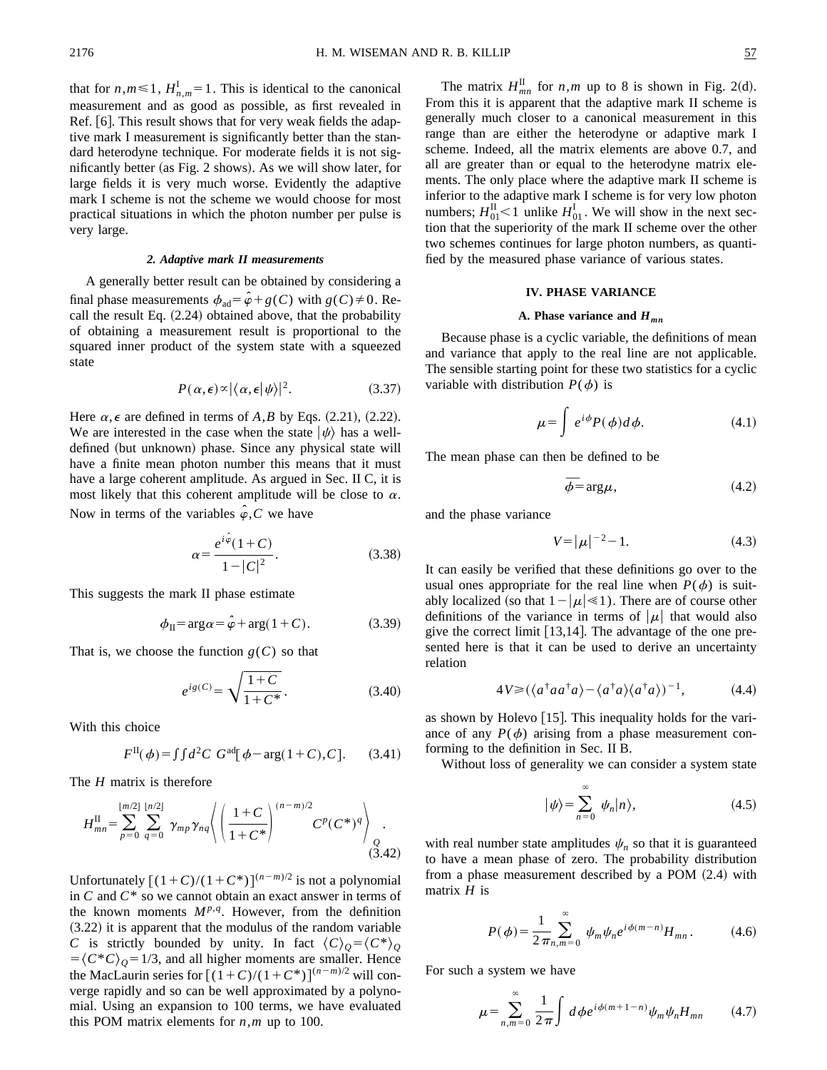that for  $n,m \leq 1$ ,  $H_{n,m}^{\text{I}} = 1$ . This is identical to the canonical measurement and as good as possible, as first revealed in Ref. [6]. This result shows that for very weak fields the adaptive mark I measurement is significantly better than the standard heterodyne technique. For moderate fields it is not significantly better (as Fig. 2 shows). As we will show later, for large fields it is very much worse. Evidently the adaptive mark I scheme is not the scheme we would choose for most practical situations in which the photon number per pulse is very large.

### *2. Adaptive mark II measurements*

A generally better result can be obtained by considering a final phase measurements  $\phi_{\text{ad}} = \hat{\varphi} + g(C)$  with  $g(C) \neq 0$ . Recall the result Eq.  $(2.24)$  obtained above, that the probability of obtaining a measurement result is proportional to the squared inner product of the system state with a squeezed state

$$
P(\alpha, \epsilon) \propto |\langle \alpha, \epsilon | \psi \rangle|^2. \tag{3.37}
$$

Here  $\alpha$ ,  $\epsilon$  are defined in terms of *A*, *B* by Eqs. (2.21), (2.22). We are interested in the case when the state  $|\psi\rangle$  has a welldefined (but unknown) phase. Since any physical state will have a finite mean photon number this means that it must have a large coherent amplitude. As argued in Sec. II C, it is most likely that this coherent amplitude will be close to  $\alpha$ . Now in terms of the variables  $\hat{\varphi}$ , *C* we have

$$
\alpha = \frac{e^{i\hat{\varphi}}(1+C)}{1-|C|^2}.
$$
 (3.38)

This suggests the mark II phase estimate

$$
\phi_{II} = \arg \alpha = \hat{\varphi} + \arg(1 + C). \tag{3.39}
$$

That is, we choose the function  $g(C)$  so that

$$
e^{ig(C)} = \sqrt{\frac{1+C}{1+C^*}}.
$$
\n(3.40)

With this choice

$$
F^{II}(\phi) = \iint d^2C \ G^{ad}[\phi - \arg(1+C), C]. \tag{3.41}
$$

The *H* matrix is therefore

$$
H_{mn}^{\text{II}} = \sum_{p=0}^{\lfloor m/2 \rfloor} \sum_{q=0}^{\lfloor n/2 \rfloor} \gamma_{mp} \gamma_{nq} \left\langle \left( \frac{1+C}{1+C^*} \right)^{(n-m)/2} C^p (C^*)^q \right\rangle_{\substack{Q\\ \text{(3.42)}}}
$$

Unfortunately  $[(1+C)/(1+C^*)]^{(n-m)/2}$  is not a polynomial in *C* and *C*\* so we cannot obtain an exact answer in terms of the known moments *Mp*,*q*. However, from the definition  $(3.22)$  it is apparent that the modulus of the random variable *C* is strictly bounded by unity. In fact  $\langle C \rangle_0 = \langle C^* \rangle_0$  $=\langle C^*C \rangle_0 = 1/3$ , and all higher moments are smaller. Hence the MacLaurin series for  $[(1+C)/(1+C^*)]^{(n-m)/2}$  will converge rapidly and so can be well approximated by a polynomial. Using an expansion to 100 terms, we have evaluated this POM matrix elements for *n*,*m* up to 100.

The matrix  $H_{mn}^{\text{II}}$  for *n*,*m* up to 8 is shown in Fig. 2(d). From this it is apparent that the adaptive mark II scheme is generally much closer to a canonical measurement in this range than are either the heterodyne or adaptive mark I scheme. Indeed, all the matrix elements are above 0.7, and all are greater than or equal to the heterodyne matrix elements. The only place where the adaptive mark II scheme is inferior to the adaptive mark I scheme is for very low photon numbers;  $H_{01}^{\text{II}}$  < 1 unlike  $H_{01}^{\text{I}}$ . We will show in the next section that the superiority of the mark II scheme over the other two schemes continues for large photon numbers, as quantified by the measured phase variance of various states.

### **IV. PHASE VARIANCE**

#### A. Phase variance and  $H_{mn}$

Because phase is a cyclic variable, the definitions of mean and variance that apply to the real line are not applicable. The sensible starting point for these two statistics for a cyclic variable with distribution  $P(\phi)$  is

$$
\mu = \int e^{i\phi} P(\phi) d\phi. \tag{4.1}
$$

The mean phase can then be defined to be

$$
\overline{\phi} = \arg \mu, \tag{4.2}
$$

and the phase variance

$$
V = |\mu|^{-2} - 1. \tag{4.3}
$$

It can easily be verified that these definitions go over to the usual ones appropriate for the real line when  $P(\phi)$  is suitably localized (so that  $1-|\mu| \ll 1$ ). There are of course other definitions of the variance in terms of  $|\mu|$  that would also give the correct limit  $[13,14]$ . The advantage of the one presented here is that it can be used to derive an uncertainty relation

$$
4V \geq (\langle a^{\dagger} a a^{\dagger} a \rangle - \langle a^{\dagger} a \rangle \langle a^{\dagger} a \rangle)^{-1}, \tag{4.4}
$$

as shown by Holevo  $[15]$ . This inequality holds for the variance of any  $P(\phi)$  arising from a phase measurement conforming to the definition in Sec. II B.

Without loss of generality we can consider a system state

$$
|\psi\rangle = \sum_{n=0}^{\infty} \psi_n |n\rangle, \qquad (4.5)
$$

with real number state amplitudes  $\psi_n$  so that it is guaranteed to have a mean phase of zero. The probability distribution from a phase measurement described by a POM  $(2.4)$  with matrix *H* is

$$
P(\phi) = \frac{1}{2 \pi_{n,m=0}} \sum_{m=0}^{\infty} \psi_m \psi_n e^{i \phi(m-n)} H_{mn}.
$$
 (4.6)

For such a system we have

$$
\mu = \sum_{n,m=0}^{\infty} \frac{1}{2\pi} \int d\phi e^{i\phi(m+1-n)} \psi_m \psi_n H_{mn} \qquad (4.7)
$$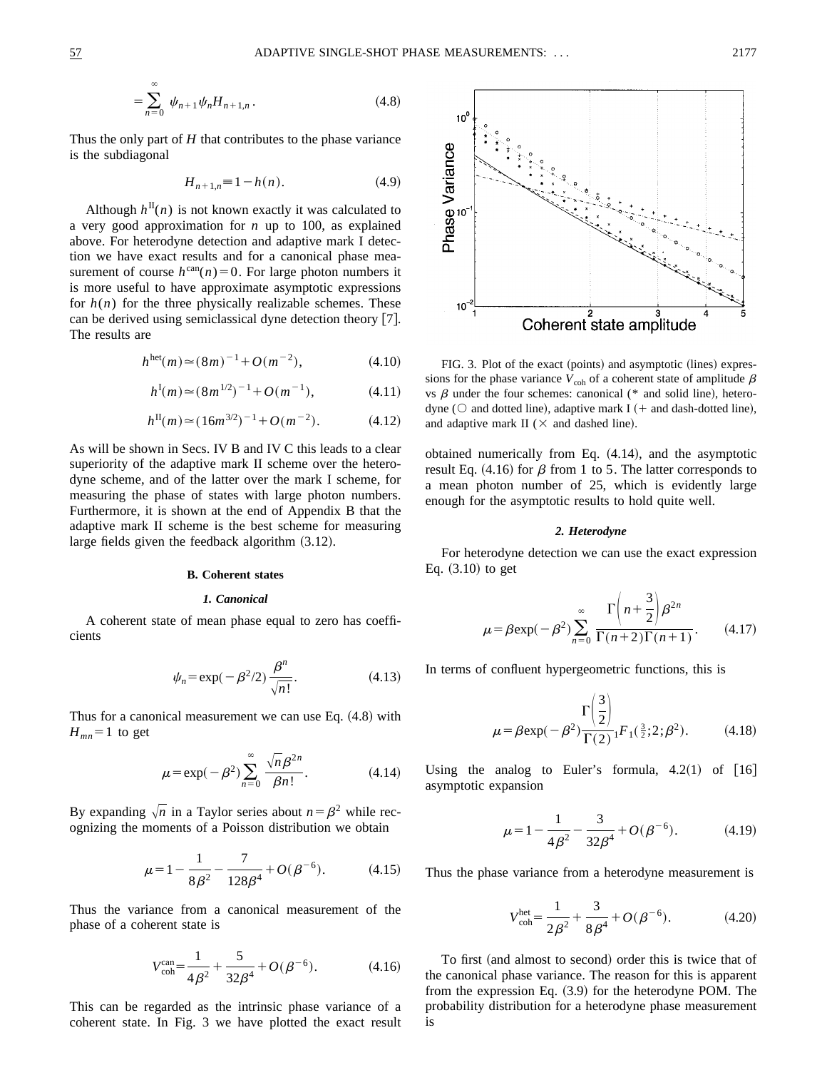$$
= \sum_{n=0}^{\infty} \psi_{n+1} \psi_n H_{n+1,n}.
$$
 (4.8)

Thus the only part of *H* that contributes to the phase variance is the subdiagonal

$$
H_{n+1,n} = 1 - h(n). \tag{4.9}
$$

Although  $h^{\text{II}}(n)$  is not known exactly it was calculated to a very good approximation for *n* up to 100, as explained above. For heterodyne detection and adaptive mark I detection we have exact results and for a canonical phase measurement of course  $h^{\text{can}}(n)=0$ . For large photon numbers it is more useful to have approximate asymptotic expressions for  $h(n)$  for the three physically realizable schemes. These can be derived using semiclassical dyne detection theory  $[7]$ . The results are

$$
h^{\text{het}}(m) \approx (8m)^{-1} + O(m^{-2}),\tag{4.10}
$$

$$
h^{I}(m) \approx (8m^{1/2})^{-1} + O(m^{-1}), \qquad (4.11)
$$

$$
h^{\text{II}}(m) \simeq (16m^{3/2})^{-1} + O(m^{-2}). \tag{4.12}
$$

As will be shown in Secs. IV B and IV C this leads to a clear superiority of the adaptive mark II scheme over the heterodyne scheme, and of the latter over the mark I scheme, for measuring the phase of states with large photon numbers. Furthermore, it is shown at the end of Appendix B that the adaptive mark II scheme is the best scheme for measuring large fields given the feedback algorithm  $(3.12)$ .

#### **B. Coherent states**

## *1. Canonical*

A coherent state of mean phase equal to zero has coefficients

$$
\psi_n = \exp(-\beta^2/2) \frac{\beta^n}{\sqrt{n!}}.
$$
\n(4.13)

Thus for a canonical measurement we can use Eq.  $(4.8)$  with  $H_{mn}$ =1 to get

$$
\mu = \exp(-\beta^2) \sum_{n=0}^{\infty} \frac{\sqrt{n} \beta^{2n}}{\beta n!}.
$$
 (4.14)

By expanding  $\sqrt{n}$  in a Taylor series about  $n = \beta^2$  while recognizing the moments of a Poisson distribution we obtain

$$
\mu = 1 - \frac{1}{8\beta^2} - \frac{7}{128\beta^4} + O(\beta^{-6}).
$$
 (4.15)

Thus the variance from a canonical measurement of the phase of a coherent state is

$$
V_{\rm coh}^{\rm can} = \frac{1}{4\beta^2} + \frac{5}{32\beta^4} + O(\beta^{-6}).
$$
 (4.16)

This can be regarded as the intrinsic phase variance of a coherent state. In Fig. 3 we have plotted the exact result



FIG. 3. Plot of the exact (points) and asymptotic (lines) expressions for the phase variance  $V_{\text{coh}}$  of a coherent state of amplitude  $\beta$ vs  $\beta$  under the four schemes: canonical (\* and solid line), heterodyne ( $\circ$  and dotted line), adaptive mark I (+ and dash-dotted line), and adaptive mark II ( $\times$  and dashed line).

obtained numerically from Eq.  $(4.14)$ , and the asymptotic result Eq.  $(4.16)$  for  $\beta$  from 1 to 5. The latter corresponds to a mean photon number of 25, which is evidently large enough for the asymptotic results to hold quite well.

## *2. Heterodyne*

For heterodyne detection we can use the exact expression Eq.  $(3.10)$  to get

$$
\mu = \beta \exp(-\beta^2) \sum_{n=0}^{\infty} \frac{\Gamma\left(n + \frac{3}{2}\right) \beta^{2n}}{\Gamma(n+2)\Gamma(n+1)}.
$$
 (4.17)

In terms of confluent hypergeometric functions, this is

$$
\mu = \beta \exp(-\beta^2) \frac{\Gamma\left(\frac{3}{2}\right)}{\Gamma(2)} \Gamma_1(\frac{3}{2}; 2; \beta^2). \tag{4.18}
$$

Using the analog to Euler's formula,  $4.2(1)$  of  $\lceil 16 \rceil$ asymptotic expansion

$$
\mu = 1 - \frac{1}{4\beta^2} - \frac{3}{32\beta^4} + O(\beta^{-6}).
$$
 (4.19)

Thus the phase variance from a heterodyne measurement is

$$
V_{\text{coh}}^{\text{het}} = \frac{1}{2\beta^2} + \frac{3}{8\beta^4} + O(\beta^{-6}).
$$
 (4.20)

To first (and almost to second) order this is twice that of the canonical phase variance. The reason for this is apparent from the expression Eq.  $(3.9)$  for the heterodyne POM. The probability distribution for a heterodyne phase measurement is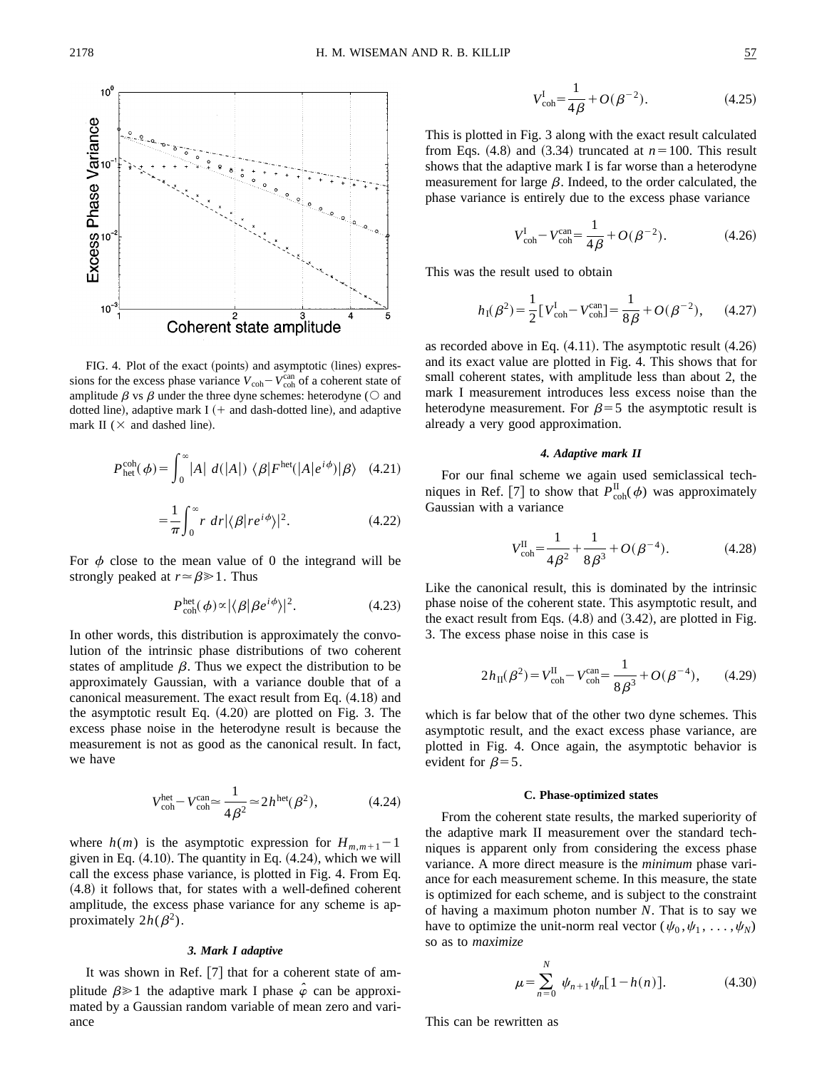

FIG. 4. Plot of the exact (points) and asymptotic (lines) expressions for the excess phase variance  $V_{\text{coh}} - V_{\text{coh}}^{\text{can}}$  of a coherent state of amplitude  $\beta$  vs  $\beta$  under the three dyne schemes: heterodyne ( $\odot$  and dotted line), adaptive mark  $I (+$  and dash-dotted line), and adaptive mark II ( $\times$  and dashed line).

$$
P_{\text{het}}^{\text{coh}}(\phi) = \int_0^\infty |A| \ d(|A|) \ \langle \beta | F^{\text{het}}(|A|e^{i\phi}) | \beta \rangle \quad (4.21)
$$

$$
=\frac{1}{\pi}\int_0^\infty r \, dr |\langle \beta | re^{i\phi} \rangle|^2. \tag{4.22}
$$

For  $\phi$  close to the mean value of 0 the integrand will be strongly peaked at  $r \approx \beta \gg 1$ . Thus

$$
P_{\rm coh}^{\rm het}(\phi) \propto |\langle \beta | \beta e^{i\phi} \rangle|^2. \tag{4.23}
$$

In other words, this distribution is approximately the convolution of the intrinsic phase distributions of two coherent states of amplitude  $\beta$ . Thus we expect the distribution to be approximately Gaussian, with a variance double that of a canonical measurement. The exact result from Eq.  $(4.18)$  and the asymptotic result Eq.  $(4.20)$  are plotted on Fig. 3. The excess phase noise in the heterodyne result is because the measurement is not as good as the canonical result. In fact, we have

$$
V_{\text{coh}}^{\text{het}} - V_{\text{coh}}^{\text{can}} \simeq \frac{1}{4\beta^2} \simeq 2h^{\text{het}}(\beta^2),\tag{4.24}
$$

where  $h(m)$  is the asymptotic expression for  $H_{m,m+1}-1$ given in Eq.  $(4.10)$ . The quantity in Eq.  $(4.24)$ , which we will call the excess phase variance, is plotted in Fig. 4. From Eq.  $(4.8)$  it follows that, for states with a well-defined coherent amplitude, the excess phase variance for any scheme is approximately  $2h(\beta^2)$ .

### *3. Mark I adaptive*

It was shown in Ref.  $[7]$  that for a coherent state of amplitude  $\beta \geq 1$  the adaptive mark I phase  $\hat{\varphi}$  can be approximated by a Gaussian random variable of mean zero and variance

$$
V_{\text{coh}}^{\text{I}} = \frac{1}{4\beta} + O(\beta^{-2}).
$$
 (4.25)

This is plotted in Fig. 3 along with the exact result calculated from Eqs.  $(4.8)$  and  $(3.34)$  truncated at  $n=100$ . This result shows that the adaptive mark I is far worse than a heterodyne measurement for large  $\beta$ . Indeed, to the order calculated, the phase variance is entirely due to the excess phase variance

$$
V_{\text{coh}}^{\text{I}} - V_{\text{coh}}^{\text{can}} = \frac{1}{4\beta} + O(\beta^{-2}).
$$
 (4.26)

This was the result used to obtain

$$
h_1(\beta^2) = \frac{1}{2} [V_{\text{coh}}^{\text{I}} - V_{\text{coh}}^{\text{can}}] = \frac{1}{8\beta} + O(\beta^{-2}), \quad (4.27)
$$

as recorded above in Eq.  $(4.11)$ . The asymptotic result  $(4.26)$ and its exact value are plotted in Fig. 4. This shows that for small coherent states, with amplitude less than about 2, the mark I measurement introduces less excess noise than the heterodyne measurement. For  $\beta=5$  the asymptotic result is already a very good approximation.

### *4. Adaptive mark II*

For our final scheme we again used semiclassical techniques in Ref. [7] to show that  $P_{\text{coh}}^{\text{II}}(\phi)$  was approximately Gaussian with a variance

$$
V_{\text{coh}}^{\text{II}} = \frac{1}{4\beta^2} + \frac{1}{8\beta^3} + O(\beta^{-4}).
$$
 (4.28)

Like the canonical result, this is dominated by the intrinsic phase noise of the coherent state. This asymptotic result, and the exact result from Eqs.  $(4.8)$  and  $(3.42)$ , are plotted in Fig. 3. The excess phase noise in this case is

$$
2h_{\rm II}(\beta^2) = V_{\rm coh}^{\rm II} - V_{\rm coh}^{\rm can} = \frac{1}{8\beta^3} + O(\beta^{-4}),\qquad(4.29)
$$

which is far below that of the other two dyne schemes. This asymptotic result, and the exact excess phase variance, are plotted in Fig. 4. Once again, the asymptotic behavior is evident for  $\beta$ =5.

### **C. Phase-optimized states**

From the coherent state results, the marked superiority of the adaptive mark II measurement over the standard techniques is apparent only from considering the excess phase variance. A more direct measure is the *minimum* phase variance for each measurement scheme. In this measure, the state is optimized for each scheme, and is subject to the constraint of having a maximum photon number *N*. That is to say we have to optimize the unit-norm real vector  $(\psi_0, \psi_1, \ldots, \psi_N)$ so as to *maximize*

$$
\mu = \sum_{n=0}^{N} \psi_{n+1} \psi_n [1 - h(n)]. \tag{4.30}
$$

This can be rewritten as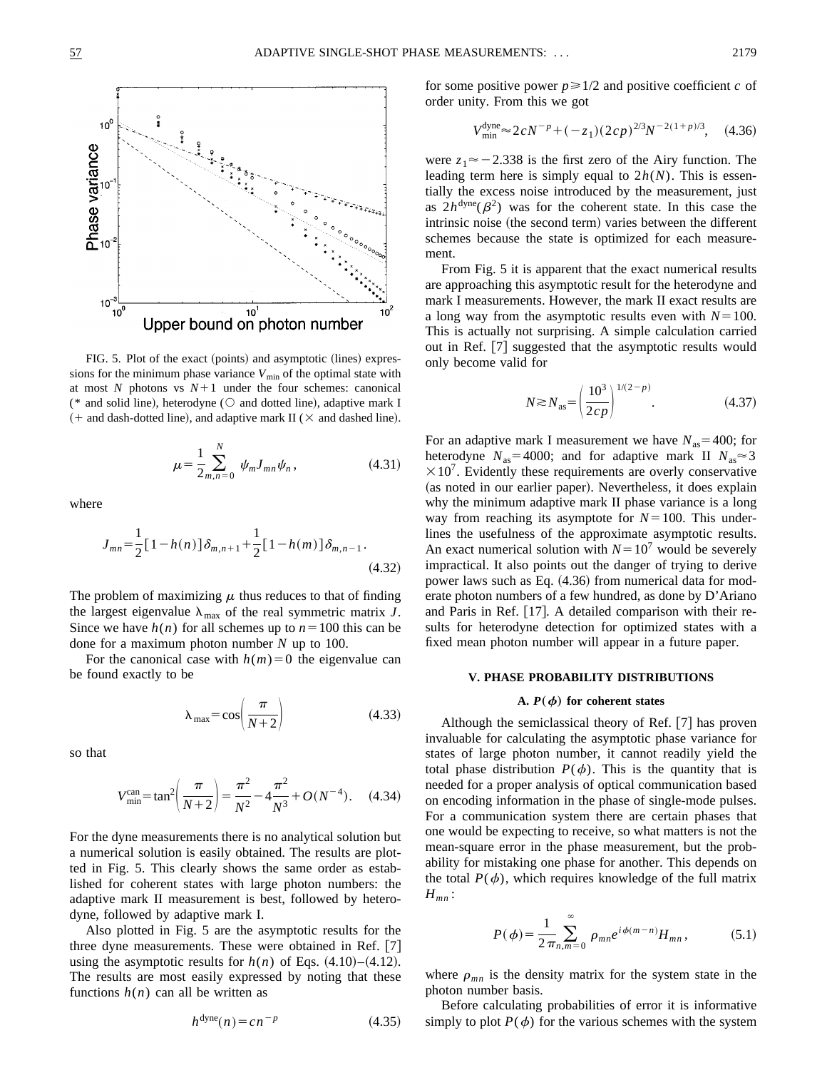

FIG. 5. Plot of the exact (points) and asymptotic (lines) expressions for the minimum phase variance  $V_{\text{min}}$  of the optimal state with at most  $N$  photons vs  $N+1$  under the four schemes: canonical (\* and solid line), heterodyne ( $\circ$  and dotted line), adaptive mark I  $(+$  and dash-dotted line), and adaptive mark II ( $\times$  and dashed line).

$$
\mu = \frac{1}{2} \sum_{m,n=0}^{N} \psi_m J_{mn} \psi_n, \qquad (4.31)
$$

where

$$
J_{mn} = \frac{1}{2} \left[ 1 - h(n) \right] \delta_{m,n+1} + \frac{1}{2} \left[ 1 - h(m) \right] \delta_{m,n-1}.
$$
\n(4.32)

The problem of maximizing  $\mu$  thus reduces to that of finding the largest eigenvalue  $\lambda_{\text{max}}$  of the real symmetric matrix *J*. Since we have  $h(n)$  for all schemes up to  $n=100$  this can be done for a maximum photon number *N* up to 100.

For the canonical case with  $h(m)=0$  the eigenvalue can be found exactly to be

$$
\lambda_{\text{max}} = \cos\left(\frac{\pi}{N+2}\right) \tag{4.33}
$$

so that

$$
V_{\text{min}}^{\text{can}} = \tan^2\left(\frac{\pi}{N+2}\right) = \frac{\pi^2}{N^2} - 4\frac{\pi^2}{N^3} + O(N^{-4}). \quad (4.34)
$$

For the dyne measurements there is no analytical solution but a numerical solution is easily obtained. The results are plotted in Fig. 5. This clearly shows the same order as established for coherent states with large photon numbers: the adaptive mark II measurement is best, followed by heterodyne, followed by adaptive mark I.

Also plotted in Fig. 5 are the asymptotic results for the three dyne measurements. These were obtained in Ref.  $[7]$ using the asymptotic results for  $h(n)$  of Eqs.  $(4.10)$ – $(4.12)$ . The results are most easily expressed by noting that these functions  $h(n)$  can all be written as

$$
h^{\text{dyne}}(n) = cn^{-p} \tag{4.35}
$$

for some positive power  $p \ge 1/2$  and positive coefficient *c* of order unity. From this we got

$$
V_{\min}^{\text{dyne}} \approx 2cN^{-p} + (-z_1)(2cp)^{2/3}N^{-2(1+p)/3}, \quad (4.36)
$$

were  $z_1 \approx -2.338$  is the first zero of the Airy function. The leading term here is simply equal to 2*h*(*N*). This is essentially the excess noise introduced by the measurement, just as  $2h^{\text{dyne}}(\beta^2)$  was for the coherent state. In this case the intrinsic noise (the second term) varies between the different schemes because the state is optimized for each measurement.

From Fig. 5 it is apparent that the exact numerical results are approaching this asymptotic result for the heterodyne and mark I measurements. However, the mark II exact results are a long way from the asymptotic results even with  $N=100$ . This is actually not surprising. A simple calculation carried out in Ref. [7] suggested that the asymptotic results would only become valid for

$$
N \gtrsim N_{\text{as}} = \left(\frac{10^3}{2cp}\right)^{1/(2-p)}.\tag{4.37}
$$

For an adaptive mark I measurement we have  $N_{as} = 400$ ; for heterodyne  $N_{as}$ =4000; and for adaptive mark II  $N_{as} \approx 3$  $\times 10<sup>7</sup>$ . Evidently these requirements are overly conservative (as noted in our earlier paper). Nevertheless, it does explain why the minimum adaptive mark II phase variance is a long way from reaching its asymptote for  $N=100$ . This underlines the usefulness of the approximate asymptotic results. An exact numerical solution with  $N=10^7$  would be severely impractical. It also points out the danger of trying to derive power laws such as Eq.  $(4.36)$  from numerical data for moderate photon numbers of a few hundred, as done by D'Ariano and Paris in Ref.  $[17]$ . A detailed comparison with their results for heterodyne detection for optimized states with a fixed mean photon number will appear in a future paper.

#### **V. PHASE PROBABILITY DISTRIBUTIONS**

#### **A.**  $P(\phi)$  for coherent states

Although the semiclassical theory of Ref.  $|7|$  has proven invaluable for calculating the asymptotic phase variance for states of large photon number, it cannot readily yield the total phase distribution  $P(\phi)$ . This is the quantity that is needed for a proper analysis of optical communication based on encoding information in the phase of single-mode pulses. For a communication system there are certain phases that one would be expecting to receive, so what matters is not the mean-square error in the phase measurement, but the probability for mistaking one phase for another. This depends on the total  $P(\phi)$ , which requires knowledge of the full matrix *Hmn* :

$$
P(\phi) = \frac{1}{2 \pi} \sum_{n,m=0}^{\infty} \rho_{mn} e^{i\phi(m-n)} H_{mn},
$$
 (5.1)

where  $\rho_{mn}$  is the density matrix for the system state in the photon number basis.

Before calculating probabilities of error it is informative simply to plot  $P(\phi)$  for the various schemes with the system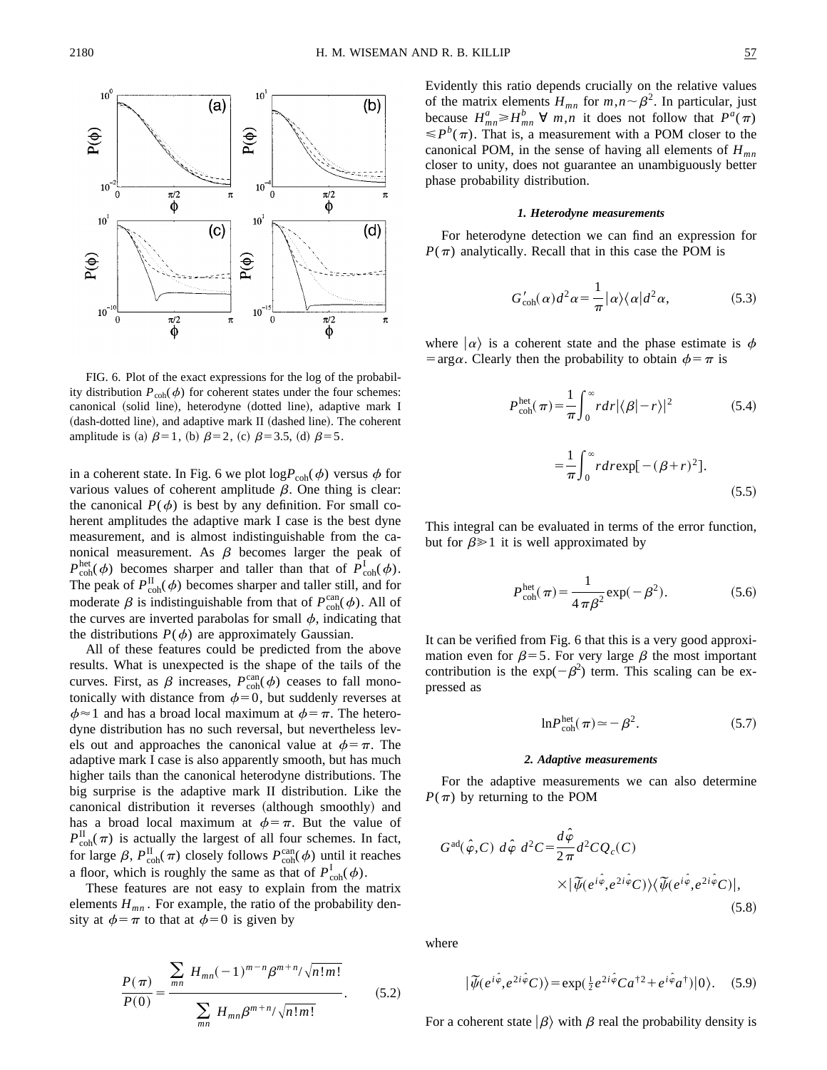

FIG. 6. Plot of the exact expressions for the log of the probability distribution  $P_{coh}(\phi)$  for coherent states under the four schemes: canonical (solid line), heterodyne (dotted line), adaptive mark I (dash-dotted line), and adaptive mark II (dashed line). The coherent amplitude is (a)  $\beta = 1$ , (b)  $\beta = 2$ , (c)  $\beta = 3.5$ , (d)  $\beta = 5$ .

in a coherent state. In Fig. 6 we plot  $log P_{coh}(\phi)$  versus  $\phi$  for various values of coherent amplitude  $\beta$ . One thing is clear: the canonical  $P(\phi)$  is best by any definition. For small coherent amplitudes the adaptive mark I case is the best dyne measurement, and is almost indistinguishable from the canonical measurement. As  $\beta$  becomes larger the peak of  $P_{\text{coh}}^{\text{het}}(\phi)$  becomes sharper and taller than that of  $P_{\text{coh}}^{\text{I}}(\phi)$ . The peak of  $P_{coh}^{II}(\phi)$  becomes sharper and taller still, and for moderate  $\beta$  is indistinguishable from that of  $P_{coh}^{can}(\phi)$ . All of the curves are inverted parabolas for small  $\phi$ , indicating that the distributions  $P(\phi)$  are approximately Gaussian.

All of these features could be predicted from the above results. What is unexpected is the shape of the tails of the curves. First, as  $\beta$  increases,  $P_{\text{coh}}^{\text{can}}(\phi)$  ceases to fall monotonically with distance from  $\phi=0$ , but suddenly reverses at  $\phi \approx 1$  and has a broad local maximum at  $\phi = \pi$ . The heterodyne distribution has no such reversal, but nevertheless levels out and approaches the canonical value at  $\phi = \pi$ . The adaptive mark I case is also apparently smooth, but has much higher tails than the canonical heterodyne distributions. The big surprise is the adaptive mark II distribution. Like the canonical distribution it reverses (although smoothly) and has a broad local maximum at  $\phi = \pi$ . But the value of  $P_{\text{coh}}^{\text{II}}(\pi)$  is actually the largest of all four schemes. In fact, for large  $\beta$ ,  $P_{\text{coh}}^{\text{II}}(\pi)$  closely follows  $P_{\text{coh}}^{\text{can}}(\phi)$  until it reaches a floor, which is roughly the same as that of  $P_{coh}^{\text{I}}(\phi)$ .

These features are not easy to explain from the matrix elements  $H_{mn}$ . For example, the ratio of the probability density at  $\phi = \pi$  to that at  $\phi = 0$  is given by

$$
\frac{P(\pi)}{P(0)} = \frac{\sum_{mn} H_{mn}(-1)^{m-n} \beta^{m+n} / \sqrt{n! m!}}{\sum_{mn} H_{mn} \beta^{m+n} / \sqrt{n! m!}}.
$$
 (5.2)

Evidently this ratio depends crucially on the relative values of the matrix elements  $H_{mn}$  for  $m, n \sim \beta^2$ . In particular, just because  $H_{mn}^a \ge H_{mn}^b \ \forall \ m,n$  it does not follow that  $P^a(\pi)$  $\leq P^b(\pi)$ . That is, a measurement with a POM closer to the canonical POM, in the sense of having all elements of  $H_{mn}$ closer to unity, does not guarantee an unambiguously better phase probability distribution.

## *1. Heterodyne measurements*

For heterodyne detection we can find an expression for  $P(\pi)$  analytically. Recall that in this case the POM is

$$
G'_{\text{coh}}(\alpha)d^2\alpha = \frac{1}{\pi}|\alpha\rangle\langle\alpha|d^2\alpha,\tag{5.3}
$$

where  $|\alpha\rangle$  is a coherent state and the phase estimate is  $\phi$ = arg $\alpha$ . Clearly then the probability to obtain  $\phi = \pi$  is

$$
P_{\rm coh}^{\rm het}(\pi) = \frac{1}{\pi} \int_0^\infty r dr |\langle \beta | - r \rangle|^2
$$
 (5.4)  

$$
= \frac{1}{\pi} \int_0^\infty r dr \exp[-(\beta + r)^2].
$$

 $(5.5)$ 

This integral can be evaluated in terms of the error function, but for  $\beta \geq 1$  it is well approximated by

$$
P_{\text{coh}}^{\text{het}}(\pi) = \frac{1}{4\pi\beta^2} \exp(-\beta^2).
$$
 (5.6)

It can be verified from Fig. 6 that this is a very good approximation even for  $\beta$ =5. For very large  $\beta$  the most important contribution is the  $exp(-\beta^2)$  term. This scaling can be expressed as

$$
\ln P_{\text{coh}}^{\text{het}}(\pi) \simeq -\beta^2. \tag{5.7}
$$

### *2. Adaptive measurements*

For the adaptive measurements we can also determine  $P(\pi)$  by returning to the POM

$$
G^{\text{ad}}(\hat{\varphi}, C) d\hat{\varphi} d^{2}C = \frac{d\hat{\varphi}}{2\pi} d^{2}CQ_{c}(C)
$$
  
 
$$
\times |\tilde{\psi}(e^{i\hat{\varphi}}, e^{2i\hat{\varphi}}C)\rangle \langle \tilde{\psi}(e^{i\hat{\varphi}}, e^{2i\hat{\varphi}}C)|,
$$
(5.8)

where

$$
|\widetilde{\psi}(e^{i\hat{\varphi}},e^{2i\hat{\varphi}}C)\rangle = \exp(\tfrac{1}{2}e^{2i\hat{\varphi}}Ca^{\dagger 2} + e^{i\hat{\varphi}}a^{\dagger})|0\rangle. \quad (5.9)
$$

For a coherent state  $|\beta\rangle$  with  $\beta$  real the probability density is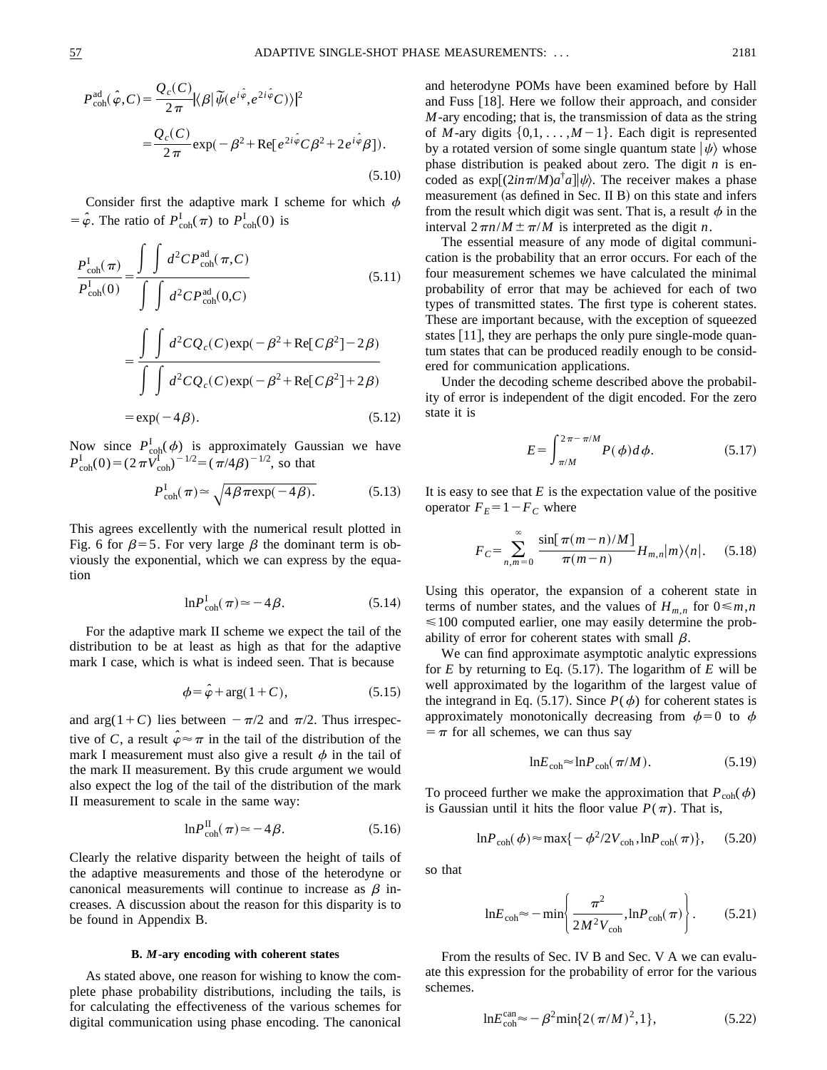$$
P_{\text{coh}}^{\text{ad}}(\hat{\varphi}, C) = \frac{Q_c(C)}{2\pi} |\langle \beta | \widetilde{\psi}(e^{i\hat{\varphi}}, e^{2i\hat{\varphi}}C) \rangle|^2
$$
  
= 
$$
\frac{Q_c(C)}{2\pi} \exp(-\beta^2 + \text{Re}[e^{2i\hat{\varphi}}C\beta^2 + 2e^{i\hat{\varphi}}\beta]).
$$
 (5.10)

Consider first the adaptive mark I scheme for which  $\phi$  $= \hat{\varphi}$ . The ratio of  $P_{\text{coh}}^{\text{I}}(\pi)$  to  $P_{\text{coh}}^{\text{I}}(0)$  is

$$
\frac{P_{\text{coh}}^{I}(\pi)}{P_{\text{coh}}^{I}(0)} = \frac{\int \int d^{2}CP_{\text{coh}}^{\text{ad}}(\pi, C)}{\int \int d^{2}CP_{\text{coh}}^{\text{ad}}(0, C)}
$$
(5.11)  

$$
= \frac{\int \int d^{2}CQ_{c}(C)\exp(-\beta^{2} + \text{Re}[C\beta^{2}] - 2\beta)}{\int \int d^{2}CQ_{c}(C)\exp(-\beta^{2} + \text{Re}[C\beta^{2}] + 2\beta)}
$$

$$
= \exp(-4\beta). \qquad (5.12)
$$

Now since  $P_{\text{coh}}^{\text{I}}(\phi)$  is approximately Gaussian we have  $P_{\rm coh}^{\rm I}(0) = (2\,\pi V_{\rm coh}^{\rm I})^{-1/2} = (\,\pi/4\beta)^{-1/2}$ , so that

$$
P_{\rm coh}^{\rm I}(\pi) \simeq \sqrt{4\beta \pi \exp(-4\beta)}.
$$
 (5.13)

This agrees excellently with the numerical result plotted in Fig. 6 for  $\beta$ =5. For very large  $\beta$  the dominant term is obviously the exponential, which we can express by the equation

$$
\ln P_{\text{coh}}^{\text{I}}(\pi) \simeq -4\beta. \tag{5.14}
$$

For the adaptive mark II scheme we expect the tail of the distribution to be at least as high as that for the adaptive mark I case, which is what is indeed seen. That is because

$$
\phi = \hat{\varphi} + \arg(1 + C),\tag{5.15}
$$

and arg $(1+C)$  lies between  $-\pi/2$  and  $\pi/2$ . Thus irrespective of *C*, a result  $\hat{\varphi} \approx \pi$  in the tail of the distribution of the mark I measurement must also give a result  $\phi$  in the tail of the mark II measurement. By this crude argument we would also expect the log of the tail of the distribution of the mark II measurement to scale in the same way:

$$
\ln P_{\rm coh}^{\rm II}(\pi) \simeq -4\beta. \tag{5.16}
$$

Clearly the relative disparity between the height of tails of the adaptive measurements and those of the heterodyne or canonical measurements will continue to increase as  $\beta$  increases. A discussion about the reason for this disparity is to be found in Appendix B.

#### **B.** *M***-ary encoding with coherent states**

As stated above, one reason for wishing to know the complete phase probability distributions, including the tails, is for calculating the effectiveness of the various schemes for digital communication using phase encoding. The canonical and heterodyne POMs have been examined before by Hall and Fuss  $[18]$ . Here we follow their approach, and consider *M*-ary encoding; that is, the transmission of data as the string of *M*-ary digits  $\{0,1,\ldots,M-1\}$ . Each digit is represented by a rotated version of some single quantum state  $|\psi\rangle$  whose phase distribution is peaked about zero. The digit *n* is encoded as  $exp[(2in\pi/M)a^{\dagger}a]|\psi\rangle$ . The receiver makes a phase measurement (as defined in Sec. II B) on this state and infers from the result which digit was sent. That is, a result  $\phi$  in the interval  $2 \pi n / M \pm \pi / M$  is interpreted as the digit *n*.

The essential measure of any mode of digital communication is the probability that an error occurs. For each of the four measurement schemes we have calculated the minimal probability of error that may be achieved for each of two types of transmitted states. The first type is coherent states. These are important because, with the exception of squeezed states  $[11]$ , they are perhaps the only pure single-mode quantum states that can be produced readily enough to be considered for communication applications.

Under the decoding scheme described above the probability of error is independent of the digit encoded. For the zero state it is

$$
E = \int_{\pi/M}^{2\pi - \pi/M} P(\phi) d\phi.
$$
 (5.17)

It is easy to see that  $E$  is the expectation value of the positive operator  $F_E = 1 - F_C$  where

$$
F_C = \sum_{n,m=0}^{\infty} \frac{\sin[\pi(m-n)/M]}{\pi(m-n)} H_{m,n}|m\rangle\langle n|.
$$
 (5.18)

Using this operator, the expansion of a coherent state in terms of number states, and the values of  $H_{m,n}$  for  $0 \le m, n$  $\leq 100$  computed earlier, one may easily determine the probability of error for coherent states with small  $\beta$ .

We can find approximate asymptotic analytic expressions for  $E$  by returning to Eq.  $(5.17)$ . The logarithm of  $E$  will be well approximated by the logarithm of the largest value of the integrand in Eq.  $(5.17)$ . Since  $P(\phi)$  for coherent states is approximately monotonically decreasing from  $\phi=0$  to  $\phi$  $=$   $\pi$  for all schemes, we can thus say

$$
\ln E_{\rm coh} \approx \ln P_{\rm coh}(\pi/M). \tag{5.19}
$$

To proceed further we make the approximation that  $P_{coh}(\phi)$ is Gaussian until it hits the floor value  $P(\pi)$ . That is,

$$
\ln P_{\text{coh}}(\phi) \approx \max\{-\phi^2/2V_{\text{coh}}, \ln P_{\text{coh}}(\pi)\},\qquad(5.20)
$$

so that

$$
\ln E_{\rm coh} \approx -\min \left\{ \frac{\pi^2}{2M^2 V_{\rm coh}}, \ln P_{\rm coh}(\pi) \right\}.
$$
 (5.21)

From the results of Sec. IV B and Sec. V A we can evaluate this expression for the probability of error for the various schemes.

$$
\ln E_{\rm coh}^{\rm can} \approx -\beta^2 \min\{2(\pi/M)^2, 1\},\tag{5.22}
$$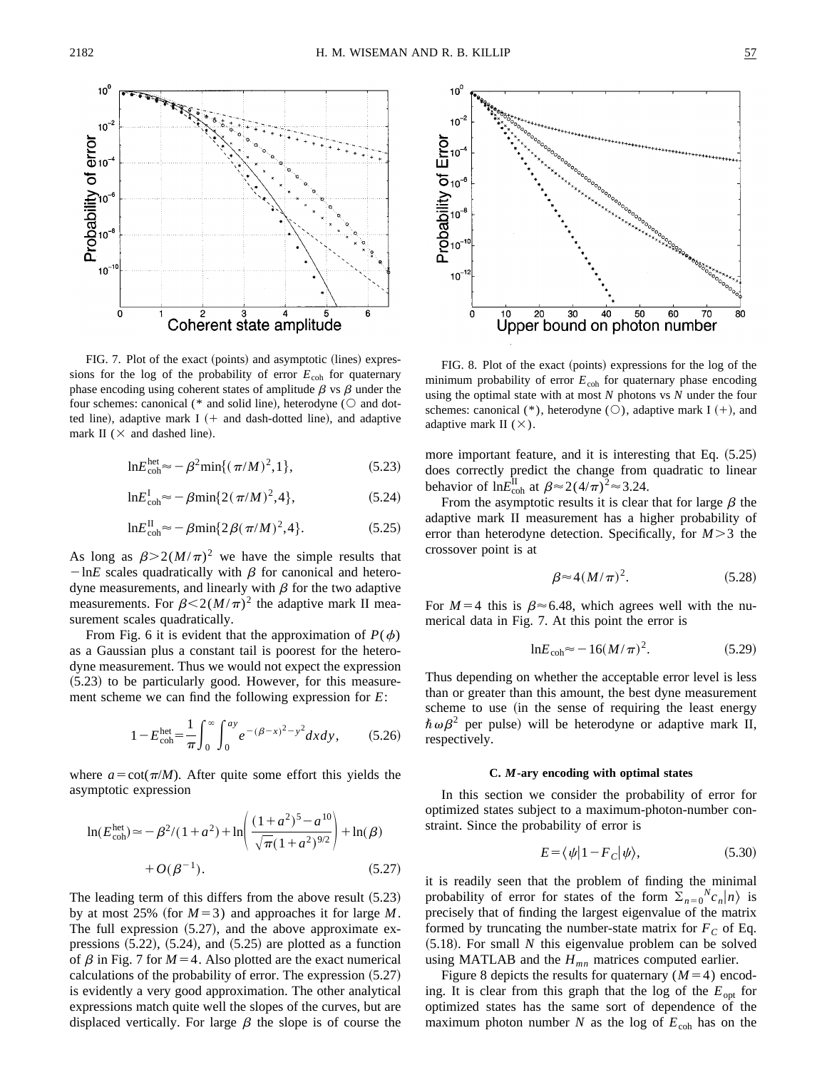

FIG. 7. Plot of the exact (points) and asymptotic (lines) expressions for the log of the probability of error  $E_{coh}$  for quaternary phase encoding using coherent states of amplitude  $\beta$  vs  $\beta$  under the four schemes: canonical ( $*$  and solid line), heterodyne ( $\circ$  and dotted line), adaptive mark I  $(+$  and dash-dotted line), and adaptive mark II ( $\times$  and dashed line).

$$
\ln E_{\text{coh}}^{\text{het}} \approx -\beta^2 \min\{(\pi/M)^2, 1\},\tag{5.23}
$$

$$
\ln E_{\text{coh}}^{1} \approx -\beta \min\{2(\pi/M)^{2}, 4\},\tag{5.24}
$$

$$
\ln E_{\text{coh}}^{\text{II}} \approx -\beta \min\{2\beta(\pi/M)^2, 4\}.
$$
 (5.25)

As long as  $\beta > 2(M/\pi)^2$  we have the simple results that  $-\ln E$  scales quadratically with  $\beta$  for canonical and heterodyne measurements, and linearly with  $\beta$  for the two adaptive measurements. For  $\beta < 2(M/\pi)^2$  the adaptive mark II measurement scales quadratically.

From Fig. 6 it is evident that the approximation of  $P(\phi)$ as a Gaussian plus a constant tail is poorest for the heterodyne measurement. Thus we would not expect the expression  $(5.23)$  to be particularly good. However, for this measurement scheme we can find the following expression for *E*:

$$
1 - E_{\rm coh}^{\rm het} = \frac{1}{\pi} \int_0^\infty \int_0^{ay} e^{-(\beta - x)^2 - y^2} dx dy, \qquad (5.26)
$$

where  $a = \cot(\pi/M)$ . After quite some effort this yields the asymptotic expression

$$
\ln(E_{\text{coh}}^{\text{het}}) \approx -\beta^2/(1+a^2) + \ln\left(\frac{(1+a^2)^5 - a^{10}}{\sqrt{\pi}(1+a^2)^{9/2}}\right) + \ln(\beta)
$$
  
+  $O(\beta^{-1}).$  (5.27)

The leading term of this differs from the above result  $(5.23)$ by at most 25% (for  $M=3$ ) and approaches it for large M. The full expression  $(5.27)$ , and the above approximate expressions  $(5.22)$ ,  $(5.24)$ , and  $(5.25)$  are plotted as a function of  $\beta$  in Fig. 7 for  $M=4$ . Also plotted are the exact numerical calculations of the probability of error. The expression  $(5.27)$ is evidently a very good approximation. The other analytical expressions match quite well the slopes of the curves, but are displaced vertically. For large  $\beta$  the slope is of course the



FIG. 8. Plot of the exact (points) expressions for the log of the minimum probability of error  $E_{coh}$  for quaternary phase encoding using the optimal state with at most *N* photons vs *N* under the four schemes: canonical  $(*)$ , heterodyne  $(\circ)$ , adaptive mark I  $(+)$ , and adaptive mark II  $(\times)$ .

more important feature, and it is interesting that Eq.  $(5.25)$ does correctly predict the change from quadratic to linear behavior of  $\ln E_{\text{coh}}^{\text{II}}$  at  $\beta \approx 2(4/\pi)^2 \approx 3.24$ .

From the asymptotic results it is clear that for large  $\beta$  the adaptive mark II measurement has a higher probability of error than heterodyne detection. Specifically, for  $M > 3$  the crossover point is at

$$
\beta \approx 4(M/\pi)^2. \tag{5.28}
$$

For  $M=4$  this is  $\beta \approx 6.48$ , which agrees well with the numerical data in Fig. 7. At this point the error is

$$
\ln E_{\rm coh} \approx -16(M/\pi)^2. \tag{5.29}
$$

Thus depending on whether the acceptable error level is less than or greater than this amount, the best dyne measurement scheme to use (in the sense of requiring the least energy  $\hbar \omega \beta^2$  per pulse) will be heterodyne or adaptive mark II, respectively.

### **C.** *M***-ary encoding with optimal states**

In this section we consider the probability of error for optimized states subject to a maximum-photon-number constraint. Since the probability of error is

$$
E = \langle \psi | 1 - F_C | \psi \rangle,\tag{5.30}
$$

it is readily seen that the problem of finding the minimal probability of error for states of the form  $\Sigma_{n=0}^N c_n |n\rangle$  is precisely that of finding the largest eigenvalue of the matrix formed by truncating the number-state matrix for  $F_C$  of Eq.  $(5.18)$ . For small *N* this eigenvalue problem can be solved using MATLAB and the  $H_{mn}$  matrices computed earlier.

Figure 8 depicts the results for quaternary  $(M=4)$  encoding. It is clear from this graph that the log of the  $E_{\text{opt}}$  for optimized states has the same sort of dependence of the maximum photon number *N* as the log of  $E_{coh}$  has on the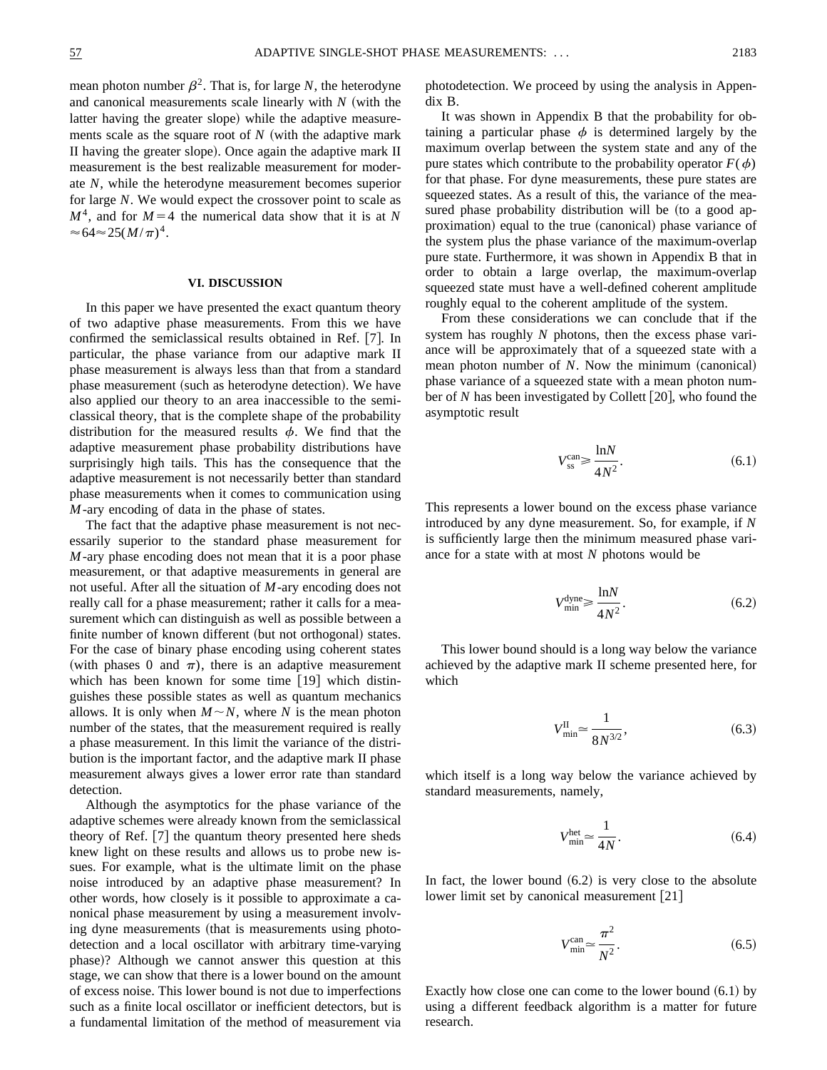mean photon number  $\beta^2$ . That is, for large *N*, the heterodyne and canonical measurements scale linearly with  $N$  (with the latter having the greater slope) while the adaptive measurements scale as the square root of  $N$  (with the adaptive mark II having the greater slope). Once again the adaptive mark II measurement is the best realizable measurement for moderate *N*, while the heterodyne measurement becomes superior for large *N*. We would expect the crossover point to scale as  $M^4$ , and for  $M=4$  the numerical data show that it is at N  $\approx 64 \approx 25 (M/\pi)^4$ .

## **VI. DISCUSSION**

In this paper we have presented the exact quantum theory of two adaptive phase measurements. From this we have confirmed the semiclassical results obtained in Ref. [7]. In particular, the phase variance from our adaptive mark II phase measurement is always less than that from a standard phase measurement (such as heterodyne detection). We have also applied our theory to an area inaccessible to the semiclassical theory, that is the complete shape of the probability distribution for the measured results  $\phi$ . We find that the adaptive measurement phase probability distributions have surprisingly high tails. This has the consequence that the adaptive measurement is not necessarily better than standard phase measurements when it comes to communication using *M*-ary encoding of data in the phase of states.

The fact that the adaptive phase measurement is not necessarily superior to the standard phase measurement for *M*-ary phase encoding does not mean that it is a poor phase measurement, or that adaptive measurements in general are not useful. After all the situation of *M*-ary encoding does not really call for a phase measurement; rather it calls for a measurement which can distinguish as well as possible between a finite number of known different (but not orthogonal) states. For the case of binary phase encoding using coherent states (with phases 0 and  $\pi$ ), there is an adaptive measurement which has been known for some time  $[19]$  which distinguishes these possible states as well as quantum mechanics allows. It is only when  $M \sim N$ , where *N* is the mean photon number of the states, that the measurement required is really a phase measurement. In this limit the variance of the distribution is the important factor, and the adaptive mark II phase measurement always gives a lower error rate than standard detection.

Although the asymptotics for the phase variance of the adaptive schemes were already known from the semiclassical theory of Ref.  $[7]$  the quantum theory presented here sheds knew light on these results and allows us to probe new issues. For example, what is the ultimate limit on the phase noise introduced by an adaptive phase measurement? In other words, how closely is it possible to approximate a canonical phase measurement by using a measurement involving dyne measurements (that is measurements using photodetection and a local oscillator with arbitrary time-varying phase)? Although we cannot answer this question at this stage, we can show that there is a lower bound on the amount of excess noise. This lower bound is not due to imperfections such as a finite local oscillator or inefficient detectors, but is a fundamental limitation of the method of measurement via photodetection. We proceed by using the analysis in Appendix B.

It was shown in Appendix B that the probability for obtaining a particular phase  $\phi$  is determined largely by the maximum overlap between the system state and any of the pure states which contribute to the probability operator  $F(\phi)$ for that phase. For dyne measurements, these pure states are squeezed states. As a result of this, the variance of the measured phase probability distribution will be (to a good approximation) equal to the true (canonical) phase variance of the system plus the phase variance of the maximum-overlap pure state. Furthermore, it was shown in Appendix B that in order to obtain a large overlap, the maximum-overlap squeezed state must have a well-defined coherent amplitude roughly equal to the coherent amplitude of the system.

From these considerations we can conclude that if the system has roughly *N* photons, then the excess phase variance will be approximately that of a squeezed state with a mean photon number of  $N$ . Now the minimum (canonical) phase variance of a squeezed state with a mean photon number of  $N$  has been investigated by Collett  $[20]$ , who found the asymptotic result

$$
V_{\rm ss}^{\rm can} \ge \frac{\ln N}{4N^2}.\tag{6.1}
$$

This represents a lower bound on the excess phase variance introduced by any dyne measurement. So, for example, if *N* is sufficiently large then the minimum measured phase variance for a state with at most *N* photons would be

$$
V_{\min}^{\text{dyne}} \geq \frac{\ln N}{4N^2}.\tag{6.2}
$$

This lower bound should is a long way below the variance achieved by the adaptive mark II scheme presented here, for which

$$
V_{\min}^{\text{II}} \simeq \frac{1}{8N^{3/2}},\tag{6.3}
$$

which itself is a long way below the variance achieved by standard measurements, namely,

$$
V_{\min}^{\text{het}} \simeq \frac{1}{4N}.\tag{6.4}
$$

In fact, the lower bound  $(6.2)$  is very close to the absolute lower limit set by canonical measurement  $[21]$ 

$$
V_{\min}^{\text{can}} \simeq \frac{\pi^2}{N^2}.\tag{6.5}
$$

Exactly how close one can come to the lower bound  $(6.1)$  by using a different feedback algorithm is a matter for future research.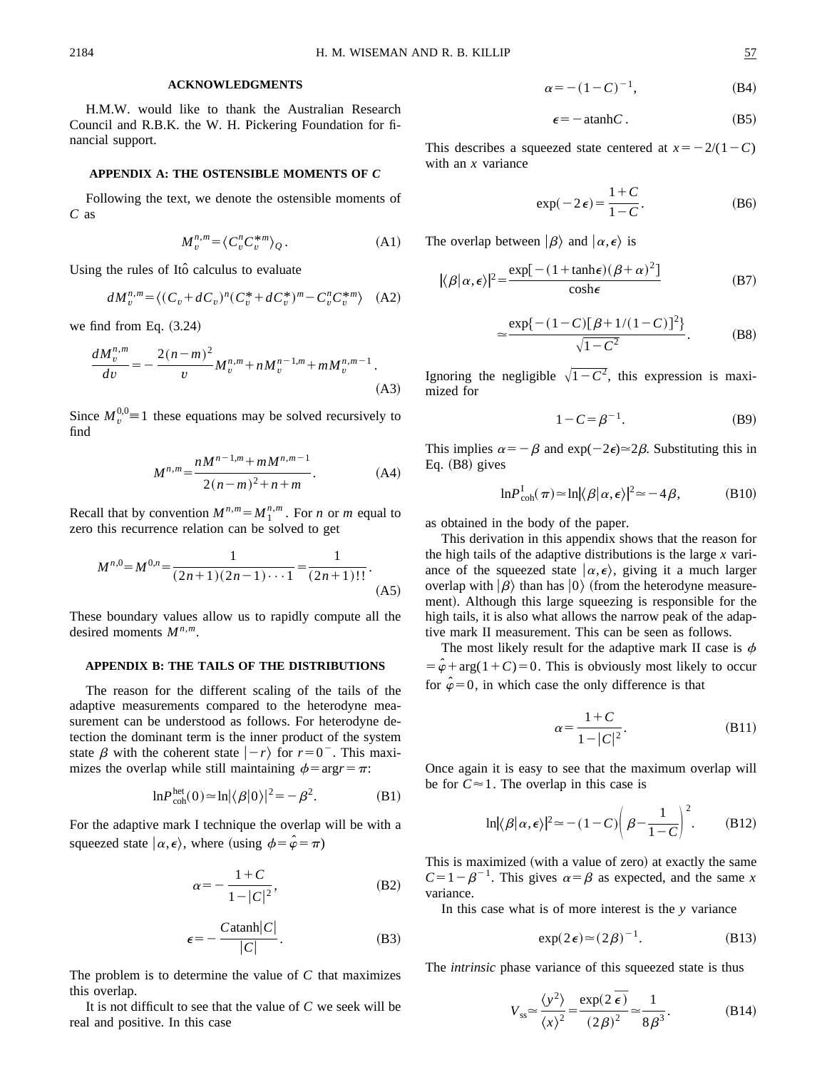### **ACKNOWLEDGMENTS**

H.M.W. would like to thank the Australian Research Council and R.B.K. the W. H. Pickering Foundation for financial support.

### **APPENDIX A: THE OSTENSIBLE MOMENTS OF** *C*

Following the text, we denote the ostensible moments of *C* as

$$
M_v^{n,m} = \langle C_v^n C_v^{*m} \rangle_Q. \tag{A1}
$$

Using the rules of Itô calculus to evaluate

$$
dM_v^{n,m} = \langle (C_v + dC_v)^n (C_v^* + dC_v^*)^m - C_v^n C_v^{*m} \rangle \quad (A2)
$$

we find from Eq.  $(3.24)$ 

$$
\frac{dM_v^{n,m}}{dv} = -\frac{2(n-m)^2}{v} M_v^{n,m} + nM_v^{n-1,m} + mM_v^{n,m-1}.
$$
\n(A3)

Since  $M_v^{0,0} \equiv 1$  these equations may be solved recursively to find

$$
M^{n,m} = \frac{nM^{n-1,m} + mM^{n,m-1}}{2(n-m)^2 + n + m}.
$$
 (A4)

Recall that by convention  $M^{n,m} = M_1^{n,m}$ . For *n* or *m* equal to zero this recurrence relation can be solved to get

$$
M^{n,0} = M^{0,n} = \frac{1}{(2n+1)(2n-1)\cdots 1} = \frac{1}{(2n+1)!!}.
$$
 (A5)

These boundary values allow us to rapidly compute all the desired moments *Mn*,*m*.

### **APPENDIX B: THE TAILS OF THE DISTRIBUTIONS**

The reason for the different scaling of the tails of the adaptive measurements compared to the heterodyne measurement can be understood as follows. For heterodyne detection the dominant term is the inner product of the system state  $\beta$  with the coherent state  $|-r\rangle$  for  $r=0^-$ . This maximizes the overlap while still maintaining  $\phi = \arg r = \pi$ :

$$
\ln P_{\text{coh}}^{\text{het}}(0) \approx \ln |\langle \beta | 0 \rangle|^2 = -\beta^2. \tag{B1}
$$

For the adaptive mark I technique the overlap will be with a squeezed state  $|\alpha, \epsilon\rangle$ , where (using  $\phi = \hat{\varphi} = \pi$ )

$$
\alpha = -\frac{1+C}{1-|C|^2},
$$
 (B2)

$$
\epsilon = -\frac{C \text{atanh}|C|}{|C|}.
$$
 (B3)

The problem is to determine the value of *C* that maximizes this overlap.

It is not difficult to see that the value of *C* we seek will be real and positive. In this case

$$
\alpha = -(1 - C)^{-1}, \tag{B4}
$$

$$
\epsilon = -\operatorname{atanh}C. \tag{B5}
$$

This describes a squeezed state centered at  $x=-2/(1-C)$ with an *x* variance

$$
\exp(-2\epsilon) = \frac{1+C}{1-C}.\tag{B6}
$$

The overlap between  $|\beta\rangle$  and  $|\alpha,\epsilon\rangle$  is

$$
|\langle \beta | \alpha, \epsilon \rangle|^2 = \frac{\exp[-(1 + \tanh\epsilon)(\beta + \alpha)^2]}{\cosh\epsilon}
$$
 (B7)

$$
\simeq \frac{\exp\{-(1-C)[\beta+1/(1-C)]^2\}}{\sqrt{1-C^2}}.
$$
 (B8)

Ignoring the negligible  $\sqrt{1-C^2}$ , this expression is maximized for

$$
1 - C = \beta^{-1}.
$$
 (B9)

This implies  $\alpha = -\beta$  and  $\exp(-2\epsilon) \approx 2\beta$ . Substituting this in Eq.  $(B8)$  gives

$$
\ln P_{\text{coh}}^{\text{I}}(\pi) \simeq \ln |\langle \beta | \alpha, \epsilon \rangle|^2 \simeq -4\beta, \tag{B10}
$$

as obtained in the body of the paper.

This derivation in this appendix shows that the reason for the high tails of the adaptive distributions is the large *x* variance of the squeezed state  $|\alpha,\epsilon\rangle$ , giving it a much larger overlap with  $|\beta\rangle$  than has  $|0\rangle$  (from the heterodyne measurement). Although this large squeezing is responsible for the high tails, it is also what allows the narrow peak of the adaptive mark II measurement. This can be seen as follows.

The most likely result for the adaptive mark II case is  $\phi$  $\hat{\varphi}$  + arg(1+C)=0. This is obviously most likely to occur for  $\hat{\varphi} = 0$ , in which case the only difference is that

$$
\alpha = \frac{1+C}{1-|C|^2}.
$$
 (B11)

Once again it is easy to see that the maximum overlap will be for  $C \approx 1$ . The overlap in this case is

$$
\ln|\langle \beta | \alpha, \epsilon \rangle|^2 \approx - (1 - C) \left( \beta - \frac{1}{1 - C} \right)^2.
$$
 (B12)

This is maximized (with a value of zero) at exactly the same  $C=1-\beta^{-1}$ . This gives  $\alpha=\beta$  as expected, and the same *x* variance.

In this case what is of more interest is the *y* variance

$$
\exp(2\epsilon) \approx (2\beta)^{-1}.
$$
 (B13)

The *intrinsic* phase variance of this squeezed state is thus

$$
V_{\text{ss}} \simeq \frac{\langle y^2 \rangle}{\langle x \rangle^2} = \frac{\exp(2 \overline{\epsilon})}{(2 \beta)^2} \simeq \frac{1}{8 \beta^3}.
$$
 (B14)